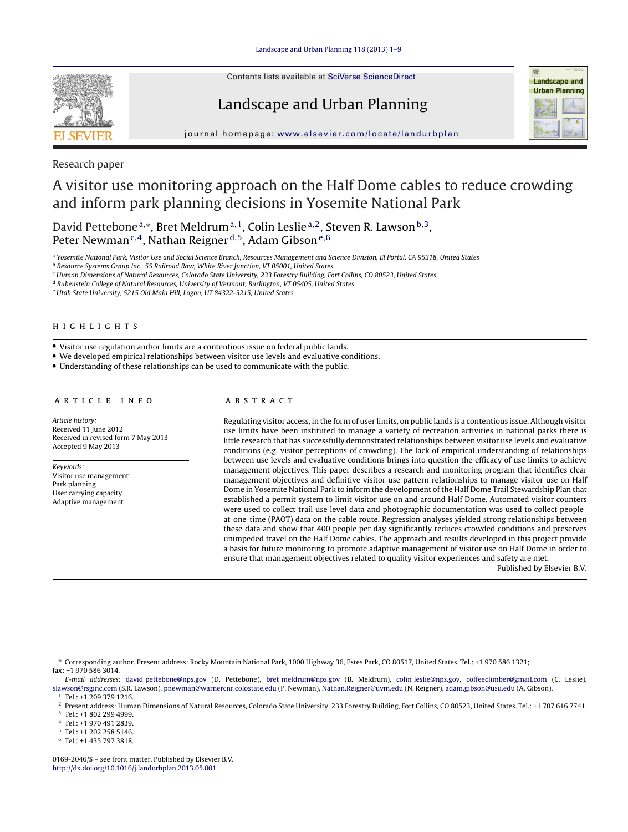Contents lists available at SciVerse [ScienceDirect](http://www.sciencedirect.com/science/journal/01692046)

# Landscape and Urban Planning



jour nal home page: [www.elsevier.com/locate/landurbplan](http://www.elsevier.com/locate/landurbplan)

Research paper

# A visitor use monitoring approach on the Half Dome cables to reduce crowding and inform park planning decisions in Yosemite National Park

David Pettebone<sup>a,∗</sup>, Bret Meldrum<sup>a,1</sup>, Colin Leslie<sup>a,2</sup>, Steven R. Lawson<sup>b,3</sup>, Peter Newman<sup>c, 4</sup>, Nathan Reigner<sup>d, 5</sup>, Adam Gibson<sup>e, 6</sup>

a Yosemite National Park, Visitor Use and Social Science Branch, Resources Management and Science Division, El Portal, CA 95318, United States

**b Resource Systems Group Inc., 55 Railroad Row, White River Junction, VT 05001, United States** 

<sup>c</sup> Human Dimensions of Natural Resources, Colorado State University, 233 Forestry Building, Fort Collins, CO 80523, United States

<sup>d</sup> Rubenstein College of Natural Resources, University of Vermont, Burlington, VT 05405, United States

<sup>e</sup> Utah State University, 5215 Old Main Hill, Logan, UT 84322-5215, United States

- Visitor use regulation and/or limits are a contentious issue on federal public lands.
- We developed empirical relationships between visitor use levels and evaluative conditions.
- Understanding of these relationships can be used to communicate with the public.

# ARTICLE INFO

Article history: Received 11 June 2012 Received in revised form 7 May 2013 Accepted 9 May 2013

Keywords: Visitor use management Park planning User carrying capacity Adaptive management

# **ABSTRACT**

Regulating visitor access, in the form of user limits, on public lands is a contentious issue. Although visitor use limits have been instituted to manage a variety of recreation activities in national parks there is little research that has successfully demonstrated relationships between visitor use levels and evaluative conditions (e.g. visitor perceptions of crowding). The lack of empirical understanding of relationships between use levels and evaluative conditions brings into question the efficacy of use limits to achieve management objectives. This paper describes a research and monitoring program that identifies clear management objectives and definitive visitor use pattern relationships to manage visitor use on Half Dome in Yosemite National Park to inform the development of the Half Dome Trail Stewardship Plan that established a permit system to limit visitor use on and around Half Dome. Automated visitor counters were used to collect trail use level data and photographic documentation was used to collect peopleat-one-time (PAOT) data on the cable route. Regression analyses yielded strong relationships between these data and show that 400 people per day significantly reduces crowded conditions and preserves unimpeded travel on the Half Dome cables. The approach and results developed in this project provide a basis for future monitoring to promote adaptive management of visitor use on Half Dome in order to ensure that management objectives related to quality visitor experiences and safety are met.

Published by Elsevier B.V.

∗ Corresponding author. Present address: Rocky Mountain National Park, 1000 Highway 36, Estes Park, CO 80517, United States. Tel.: +1 970 586 1321; fax: +1 970 586 3014.

E-mail addresses: david [pettebone@nps.gov](mailto:david_pettebone@nps.gov) (D. Pettebone), bret [meldrum@nps.gov](mailto:bret_meldrum@nps.gov) (B. Meldrum), colin [leslie@nps.gov](mailto:colin_leslie@nps.gov), [coffeeclimber@gmail.com](mailto:coffeeclimber@gmail.com) (C. Leslie), [slawson@rsginc.com](mailto:slawson@rsginc.com) (S.R. Lawson), [pnewman@warnercnr.colostate.edu](mailto:pnewman@warnercnr.colostate.edu) (P. Newman), [Nathan.Reigner@uvm.edu](mailto:Nathan.Reigner@uvm.edu) (N. Reigner), [adam.gibson@usu.edu](mailto:adam.gibson@usu.edu) (A. Gibson).

<sup>1</sup> Tel.: +1 209 379 1216.

- <sup>3</sup> Tel.: +1 802 299 4999.
- <sup>4</sup> Tel.: +1 970 491 2839.
- <sup>5</sup> Tel.: +1 202 258 5146.
- <sup>6</sup> Tel.: +1 435 797 3818.

0169-2046/\$ – see front matter. Published by Elsevier B.V. [http://dx.doi.org/10.1016/j.landurbplan.2013.05.001](dx.doi.org/10.1016/j.landurbplan.2013.05.001)

<sup>2</sup> Present address: Human Dimensions of Natural Resources, Colorado State University, 233 Forestry Building, Fort Collins, CO 80523, United States. Tel.: +1 707 616 7741.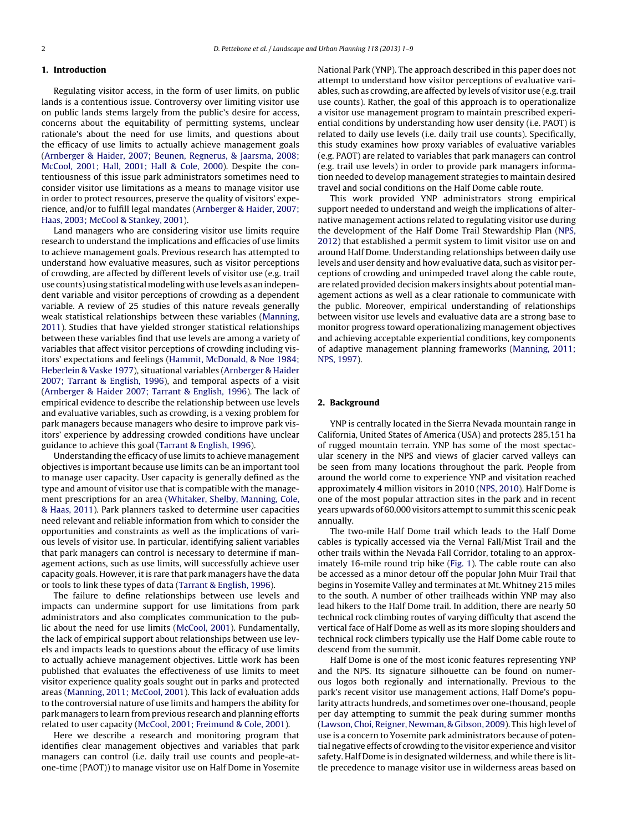# **1. Introduction**

Regulating visitor access, in the form of user limits, on public lands is a contentious issue. Controversy over limiting visitor use on public lands stems largely from the public's desire for access, concerns about the equitability of permitting systems, unclear rationale's about the need for use limits, and questions about the efficacy of use limits to actually achieve management goals ([Arnberger](#page-7-0) [&](#page-7-0) [Haider,](#page-7-0) [2007;](#page-7-0) [Beunen,](#page-7-0) [Regnerus,](#page-7-0) [&](#page-7-0) [Jaarsma,](#page-7-0) [2008;](#page-7-0) [McCool,](#page-7-0) [2001;](#page-7-0) [Hall,](#page-7-0) [2001;](#page-7-0) [Hall](#page-7-0) [&](#page-7-0) [Cole,](#page-7-0) [2000\).](#page-7-0) Despite the contentiousness of this issue park administrators sometimes need to consider visitor use limitations as a means to manage visitor use in order to protect resources, preserve the quality of visitors' experience, and/or to fulfill legal mandates ([Arnberger](#page-7-0) [&](#page-7-0) [Haider,](#page-7-0) [2007;](#page-7-0) [Haas,](#page-7-0) [2003;](#page-7-0) [McCool](#page-7-0) [&](#page-7-0) [Stankey,](#page-7-0) [2001\).](#page-7-0)

Land managers who are considering visitor use limits require research to understand the implications and efficacies of use limits to achieve management goals. Previous research has attempted to understand how evaluative measures, such as visitor perceptions of crowding, are affected by different levels of visitor use (e.g. trail use counts) using statistical modeling with use levels as an independent variable and visitor perceptions of crowding as a dependent variable. A review of 25 studies of this nature reveals generally weak statistical relationships between these variables [\(Manning,](#page-7-0) [2011\).](#page-7-0) Studies that have yielded stronger statistical relationships between these variables find that use levels are among a variety of variables that affect visitor perceptions of crowding including visitors' expectations and feelings [\(Hammit,](#page-7-0) [McDonald,](#page-7-0) [&](#page-7-0) [Noe](#page-7-0) [1984;](#page-7-0) [Heberlein](#page-7-0) [&](#page-7-0) [Vaske](#page-7-0) [1977\),](#page-7-0) situational variables ([Arnberger](#page-7-0) [&](#page-7-0) [Haider](#page-7-0) [2007;](#page-7-0) [Tarrant](#page-7-0) [&](#page-7-0) [English,](#page-7-0) [1996\),](#page-7-0) and temporal aspects of a visit ([Arnberger](#page-7-0) [&](#page-7-0) [Haider](#page-7-0) [2007;](#page-7-0) [Tarrant](#page-7-0) [&](#page-7-0) [English,](#page-7-0) [1996\).](#page-7-0) The lack of empirical evidence to describe the relationship between use levels and evaluative variables, such as crowding, is a vexing problem for park managers because managers who desire to improve park visitors' experience by addressing crowded conditions have unclear guidance to achieve this goal ([Tarrant](#page-8-0) [&](#page-8-0) [English,](#page-8-0) [1996\).](#page-8-0)

Understanding the efficacy of use limits to achieve management objectives is important because use limits can be an important tool to manage user capacity. User capacity is generally defined as the type and amount of visitor use that is compatible with the management prescriptions for an area [\(Whitaker,](#page-8-0) [Shelby,](#page-8-0) [Manning,](#page-8-0) [Cole,](#page-8-0) [&](#page-8-0) [Haas,](#page-8-0) [2011\).](#page-8-0) Park planners tasked to determine user capacities need relevant and reliable information from which to consider the opportunities and constraints as well as the implications of various levels of visitor use. In particular, identifying salient variables that park managers can control is necessary to determine if management actions, such as use limits, will successfully achieve user capacity goals. However, it is rare that park managers have the data or tools to link these types of data ([Tarrant](#page-8-0) [&](#page-8-0) [English,](#page-8-0) [1996\).](#page-8-0)

The failure to define relationships between use levels and impacts can undermine support for use limitations from park administrators and also complicates communication to the public about the need for use limits ([McCool,](#page-7-0) [2001\).](#page-7-0) Fundamentally, the lack of empirical support about relationships between use levels and impacts leads to questions about the efficacy of use limits to actually achieve management objectives. Little work has been published that evaluates the effectiveness of use limits to meet visitor experience quality goals sought out in parks and protected areas [\(Manning,](#page-7-0) [2011;](#page-7-0) [McCool,](#page-7-0) [2001\).](#page-7-0) This lack of evaluation adds to the controversial nature of use limits and hampers the ability for park managers to learn from previous research and planning efforts related to user capacity [\(McCool,](#page-7-0) [2001;](#page-7-0) [Freimund](#page-7-0) [&](#page-7-0) [Cole,](#page-7-0) [2001\).](#page-7-0)

Here we describe a research and monitoring program that identifies clear management objectives and variables that park managers can control (i.e. daily trail use counts and people-atone-time (PAOT)) to manage visitor use on Half Dome in Yosemite

National Park (YNP). The approach described in this paper does not attempt to understand how visitor perceptions of evaluative variables, such as crowding, are affected by levels of visitor use (e.g. trail use counts). Rather, the goal of this approach is to operationalize a visitor use management program to maintain prescribed experiential conditions by understanding how user density (i.e. PAOT) is related to daily use levels (i.e. daily trail use counts). Specifically, this study examines how proxy variables of evaluative variables (e.g. PAOT) are related to variables that park managers can control (e.g. trail use levels) in order to provide park managers information needed to develop management strategies to maintain desired travel and social conditions on the Half Dome cable route.

This work provided YNP administrators strong empirical support needed to understand and weigh the implications of alternative management actions related to regulating visitor use during the development of the Half Dome Trail Stewardship Plan ([NPS,](#page-7-0) [2012\)](#page-7-0) that established a permit system to limit visitor use on and around Half Dome. Understanding relationships between daily use levels and user density and how evaluative data, such as visitor perceptions of crowding and unimpeded travel along the cable route, are related provided decision makers insights about potential management actions as well as a clear rationale to communicate with the public. Moreover, empirical understanding of relationships between visitor use levels and evaluative data are a strong base to monitor progress toward operationalizing management objectives and achieving acceptable experiential conditions, key components of adaptive management planning frameworks ([Manning,](#page-7-0) [2011;](#page-7-0) [NPS,](#page-7-0) [1997\).](#page-7-0)

# **2. Background**

YNP is centrally located in the Sierra Nevada mountain range in California, United States of America (USA) and protects 285,151 ha of rugged mountain terrain. YNP has some of the most spectacular scenery in the NPS and views of glacier carved valleys can be seen from many locations throughout the park. People from around the world come to experience YNP and visitation reached approximately 4 million visitors in 2010 [\(NPS,](#page-7-0) [2010\).](#page-7-0) Half Dome is one of the most popular attraction sites in the park and in recent years upwards of 60,000 visitors attempt to summit this scenic peak annually.

The two-mile Half Dome trail which leads to the Half Dome cables is typically accessed via the Vernal Fall/Mist Trail and the other trails within the Nevada Fall Corridor, totaling to an approximately 16-mile round trip hike ([Fig.](#page-2-0) 1). The cable route can also be accessed as a minor detour off the popular John Muir Trail that begins in Yosemite Valley and terminates at Mt. Whitney 215 miles to the south. A number of other trailheads within YNP may also lead hikers to the Half Dome trail. In addition, there are nearly 50 technical rock climbing routes of varying difficulty that ascend the vertical face of Half Dome as well as its more sloping shoulders and technical rock climbers typically use the Half Dome cable route to descend from the summit.

Half Dome is one of the most iconic features representing YNP and the NPS. Its signature silhouette can be found on numerous logos both regionally and internationally. Previous to the park's recent visitor use management actions, Half Dome's popularity attracts hundreds, and sometimes over one-thousand, people per day attempting to summit the peak during summer months [\(Lawson,](#page-7-0) [Choi,](#page-7-0) [Reigner,](#page-7-0) [Newman,](#page-7-0) [&](#page-7-0) [Gibson,](#page-7-0) [2009\).](#page-7-0) This high level of use is a concern to Yosemite park administrators because of potential negative effects of crowding to the visitor experience and visitor safety. Half Dome is in designated wilderness, and while there is little precedence to manage visitor use in wilderness areas based on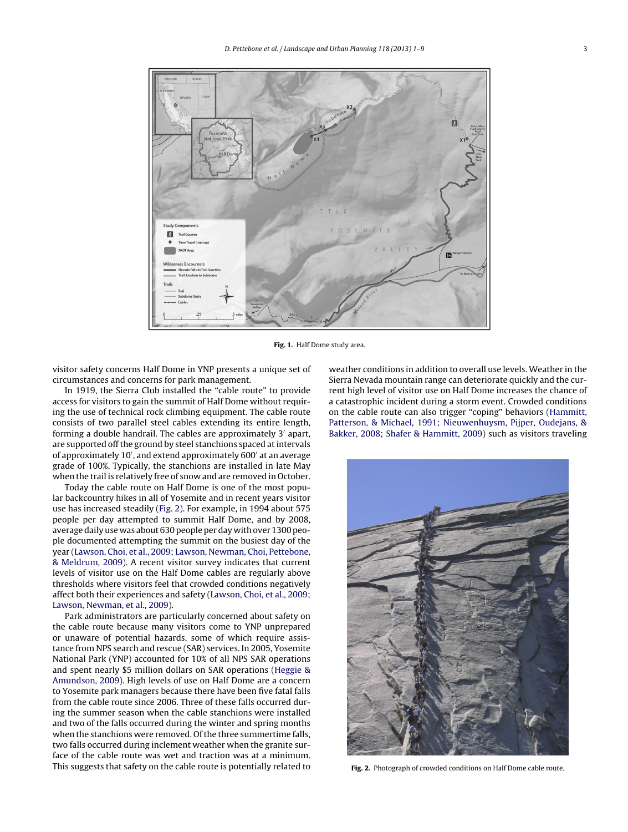<span id="page-2-0"></span>

**Fig. 1.** Half Dome study area.

visitor safety concerns Half Dome in YNP presents a unique set of circumstances and concerns for park management.

In 1919, the Sierra Club installed the "cable route" to provide access for visitors to gain the summit of Half Dome without requiring the use of technical rock climbing equipment. The cable route consists of two parallel steel cables extending its entire length, forming a double handrail. The cables are approximately 3' apart, are supported off the ground by steel stanchions spaced at intervals of approximately 10 , and extend approximately 600 at an average grade of 100%. Typically, the stanchions are installed in late May when the trail is relatively free of snow and are removed in October.

Today the cable route on Half Dome is one of the most popular backcountry hikes in all of Yosemite and in recent years visitor use has increased steadily (Fig. 2). For example, in 1994 about 575 people per day attempted to summit Half Dome, and by 2008, average daily use was about 630 people per day with over 1300 people documented attempting the summit on the busiest day of the year [\(Lawson,](#page-7-0) [Choi,](#page-7-0) et [al.,](#page-7-0) [2009;](#page-7-0) [Lawson,](#page-7-0) [Newman,](#page-7-0) [Choi,](#page-7-0) [Pettebone,](#page-7-0) [&](#page-7-0) [Meldrum,](#page-7-0) [2009\).](#page-7-0) A recent visitor survey indicates that current levels of visitor use on the Half Dome cables are regularly above thresholds where visitors feel that crowded conditions negatively affect both their experiences and safety ([Lawson,](#page-7-0) [Choi,](#page-7-0) et [al.,](#page-7-0) [2009;](#page-7-0) [Lawson,](#page-7-0) [Newman,](#page-7-0) et [al.,](#page-7-0) [2009\).](#page-7-0)

Park administrators are particularly concerned about safety on the cable route because many visitors come to YNP unprepared or unaware of potential hazards, some of which require assistance from NPS search and rescue (SAR) services. In 2005, Yosemite National Park (YNP) accounted for 10% of all NPS SAR operations and spent nearly \$5 million dollars on SAR operations [\(Heggie](#page-7-0) [&](#page-7-0) [Amundson,](#page-7-0) [2009\).](#page-7-0) High levels of use on Half Dome are a concern to Yosemite park managers because there have been five fatal falls from the cable route since 2006. Three of these falls occurred during the summer season when the cable stanchions were installed and two of the falls occurred during the winter and spring months when the stanchions were removed. Of the three summertime falls, two falls occurred during inclement weather when the granite surface of the cable route was wet and traction was at a minimum. This suggests that safety on the cable route is potentially related to

weather conditions in addition to overall use levels. Weather in the Sierra Nevada mountain range can deteriorate quickly and the current high level of visitor use on Half Dome increases the chance of a catastrophic incident during a storm event. Crowded conditions on the cable route can also trigger "coping" behaviors [\(Hammitt,](#page-7-0) [Patterson,](#page-7-0) [&](#page-7-0) [Michael,](#page-7-0) [1991;](#page-7-0) [Nieuwenhuysm,](#page-7-0) [Pijper,](#page-7-0) [Oudejans,](#page-7-0) [&](#page-7-0) [Bakker,](#page-7-0) [2008;](#page-7-0) [Shafer](#page-7-0) [&](#page-7-0) [Hammitt,](#page-7-0) [2009\)](#page-7-0) such as visitors traveling



**Fig. 2.** Photograph of crowded conditions on Half Dome cable route.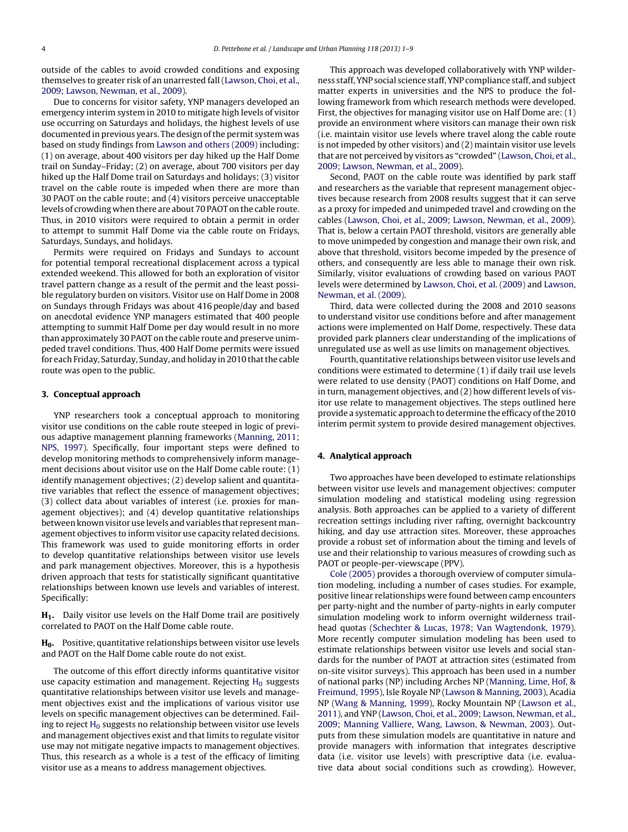outside of the cables to avoid crowded conditions and exposing themselves to greater risk of an unarrested fall ([Lawson,](#page-7-0) [Choi,](#page-7-0) et [al.,](#page-7-0) [2009;](#page-7-0) [Lawson,](#page-7-0) [Newman,](#page-7-0) et [al.,](#page-7-0) [2009\).](#page-7-0)

Due to concerns for visitor safety, YNP managers developed an emergency interim system in 2010 to mitigate high levels of visitor use occurring on Saturdays and holidays, the highest levels of use documented in previous years. The design of the permit system was based on study findings from [Lawson](#page-7-0) [and](#page-7-0) [others](#page-7-0) [\(2009\)](#page-7-0) including: (1) on average, about 400 visitors per day hiked up the Half Dome trail on Sunday–Friday; (2) on average, about 700 visitors per day hiked up the Half Dome trail on Saturdays and holidays; (3) visitor travel on the cable route is impeded when there are more than 30 PAOT on the cable route; and (4) visitors perceive unacceptable levels of crowding when there are about 70 PAOT on the cable route. Thus, in 2010 visitors were required to obtain a permit in order to attempt to summit Half Dome via the cable route on Fridays, Saturdays, Sundays, and holidays.

Permits were required on Fridays and Sundays to account for potential temporal recreational displacement across a typical extended weekend. This allowed for both an exploration of visitor travel pattern change as a result of the permit and the least possible regulatory burden on visitors. Visitor use on Half Dome in 2008 on Sundays through Fridays was about 416 people/day and based on anecdotal evidence YNP managers estimated that 400 people attempting to summit Half Dome per day would result in no more than approximately 30 PAOT on the cable route and preserve unimpeded travel conditions. Thus, 400 Half Dome permits were issued for each Friday, Saturday, Sunday, and holiday in 2010 that the cable route was open to the public.

# **3. Conceptual approach**

YNP researchers took a conceptual approach to monitoring visitor use conditions on the cable route steeped in logic of previous adaptive management planning frameworks [\(Manning,](#page-7-0) [2011;](#page-7-0) [NPS,](#page-7-0) [1997\).](#page-7-0) Specifically, four important steps were defined to develop monitoring methods to comprehensively inform management decisions about visitor use on the Half Dome cable route: (1) identify management objectives; (2) develop salient and quantitative variables that reflect the essence of management objectives; (3) collect data about variables of interest (i.e. proxies for management objectives); and (4) develop quantitative relationships between known visitor use levels and variables that represent management objectives to inform visitor use capacity related decisions. This framework was used to guide monitoring efforts in order to develop quantitative relationships between visitor use levels and park management objectives. Moreover, this is a hypothesis driven approach that tests for statistically significant quantitative relationships between known use levels and variables of interest. Specifically:

**H1.** Daily visitor use levels on the Half Dome trail are positively correlated to PAOT on the Half Dome cable route.

H<sub>0</sub>. Positive, quantitative relationships between visitor use levels and PAOT on the Half Dome cable route do not exist.

The outcome of this effort directly informs quantitative visitor use capacity estimation and management. Rejecting  $H_0$  suggests quantitative relationships between visitor use levels and management objectives exist and the implications of various visitor use levels on specific management objectives can be determined. Failing to reject  $H_0$  suggests no relationship between visitor use levels and management objectives exist and that limits to regulate visitor use may not mitigate negative impacts to management objectives. Thus, this research as a whole is a test of the efficacy of limiting visitor use as a means to address management objectives.

This approach was developed collaboratively with YNP wilderness staff, YNP social science staff, YNP compliance staff, and subject matter experts in universities and the NPS to produce the following framework from which research methods were developed. First, the objectives for managing visitor use on Half Dome are: (1) provide an environment where visitors can manage their own risk (i.e. maintain visitor use levels where travel along the cable route is not impeded by other visitors) and (2) maintain visitor use levels that are not perceived by visitors as "crowded" [\(Lawson,](#page-7-0) [Choi,](#page-7-0) et [al.,](#page-7-0) [2009;](#page-7-0) [Lawson,](#page-7-0) [Newman,](#page-7-0) et [al.,](#page-7-0) [2009\).](#page-7-0)

Second, PAOT on the cable route was identified by park staff and researchers as the variable that represent management objectives because research from 2008 results suggest that it can serve as a proxy for impeded and unimpeded travel and crowding on the cables ([Lawson,](#page-7-0) [Choi,](#page-7-0) et [al.,](#page-7-0) [2009;](#page-7-0) [Lawson,](#page-7-0) [Newman,](#page-7-0) et [al.,](#page-7-0) [2009\).](#page-7-0) That is, below a certain PAOT threshold, visitors are generally able to move unimpeded by congestion and manage their own risk, and above that threshold, visitors become impeded by the presence of others, and consequently are less able to manage their own risk. Similarly, visitor evaluations of crowding based on various PAOT levels were determined by [Lawson,](#page-7-0) [Choi,](#page-7-0) et [al.](#page-7-0) [\(2009\)](#page-7-0) and [Lawson,](#page-7-0) [Newman,](#page-7-0) et [al.](#page-7-0) [\(2009\).](#page-7-0)

Third, data were collected during the 2008 and 2010 seasons to understand visitor use conditions before and after management actions were implemented on Half Dome, respectively. These data provided park planners clear understanding of the implications of unregulated use as well as use limits on management objectives.

Fourth, quantitative relationships between visitor use levels and conditions were estimated to determine (1) if daily trail use levels were related to use density (PAOT) conditions on Half Dome, and in turn, management objectives, and (2) how different levels of visitor use relate to management objectives. The steps outlined here provide a systematic approach to determine the efficacy of the 2010 interim permit system to provide desired management objectives.

# **4. Analytical approach**

Two approaches have been developed to estimate relationships between visitor use levels and management objectives: computer simulation modeling and statistical modeling using regression analysis. Both approaches can be applied to a variety of different recreation settings including river rafting, overnight backcountry hiking, and day use attraction sites. Moreover, these approaches provide a robust set of information about the timing and levels of use and their relationship to various measures of crowding such as PAOT or people-per-viewscape (PPV).

[Cole](#page-7-0) [\(2005\)](#page-7-0) provides a thorough overview of computer simulation modeling, including a number of cases studies. For example, positive linear relationships were found between camp encounters per party-night and the number of party-nights in early computer simulation modeling work to inform overnight wilderness trailhead quotas [\(Schechter](#page-8-0) [&](#page-8-0) [Lucas,](#page-8-0) [1978;](#page-8-0) [Van](#page-8-0) [Wagtendonk,](#page-8-0) [1979\).](#page-8-0) More recently computer simulation modeling has been used to estimate relationships between visitor use levels and social standards for the number of PAOT at attraction sites (estimated from on-site visitor surveys). This approach has been used in a number of national parks (NP) including Arches NP ([Manning,](#page-7-0) [Lime,](#page-7-0) [Hof,](#page-7-0) [&](#page-7-0) [Freimund,](#page-7-0) [1995\),](#page-7-0) Isle Royale NP ([Lawson](#page-7-0) [&](#page-7-0) [Manning,](#page-7-0) [2003\),](#page-7-0) Acadia NP [\(Wang](#page-8-0) [&](#page-8-0) [Manning,](#page-8-0) [1999\),](#page-8-0) Rocky Mountain NP [\(Lawson](#page-7-0) et [al.,](#page-7-0) [2011\),](#page-7-0) and YNP ([Lawson,](#page-7-0) [Choi,](#page-7-0) et [al.,](#page-7-0) [2009;](#page-7-0) [Lawson,](#page-7-0) [Newman,](#page-7-0) et [al.,](#page-7-0) [2009;](#page-7-0) [Manning](#page-7-0) [Valliere,](#page-7-0) [Wang,](#page-7-0) [Lawson,](#page-7-0) [&](#page-7-0) [Newman,](#page-7-0) [2003\).](#page-7-0) Outputs from these simulation models are quantitative in nature and provide managers with information that integrates descriptive data (i.e. visitor use levels) with prescriptive data (i.e. evaluative data about social conditions such as crowding). However,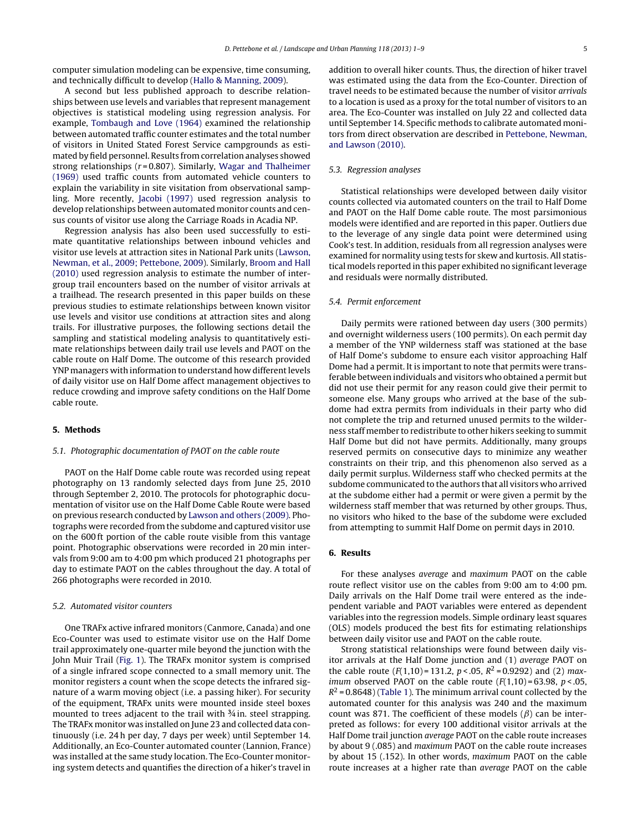computer simulation modeling can be expensive, time consuming, and technically difficult to develop [\(Hallo](#page-7-0) [&](#page-7-0) [Manning,](#page-7-0) [2009\).](#page-7-0)

A second but less published approach to describe relationships between use levels and variables that represent management objectives is statistical modeling using regression analysis. For example, [Tombaugh](#page-8-0) [and](#page-8-0) [Love](#page-8-0) [\(1964\)](#page-8-0) examined the relationship between automated traffic counter estimates and the total number of visitors in United Stated Forest Service campgrounds as estimated by field personnel. Results from correlation analyses showed strong relationships ( $r = 0.807$ ). Similarly, [Wagar](#page-8-0) [and](#page-8-0) [Thalheimer](#page-8-0) [\(1969\)](#page-8-0) used traffic counts from automated vehicle counters to explain the variability in site visitation from observational sampling. More recently, [Jacobi](#page-7-0) [\(1997\)](#page-7-0) used regression analysis to develop relationships between automated monitor counts and census counts of visitor use along the Carriage Roads in Acadia NP.

Regression analysis has also been used successfully to estimate quantitative relationships between inbound vehicles and visitor use levels at attraction sites in National Park units [\(Lawson,](#page-7-0) [Newman,](#page-7-0) et [al.,](#page-7-0) [2009;](#page-7-0) [Pettebone,](#page-7-0) [2009\).](#page-7-0) Similarly, [Broom](#page-7-0) [and](#page-7-0) [Hall](#page-7-0) [\(2010\)](#page-7-0) used regression analysis to estimate the number of intergroup trail encounters based on the number of visitor arrivals at a trailhead. The research presented in this paper builds on these previous studies to estimate relationships between known visitor use levels and visitor use conditions at attraction sites and along trails. For illustrative purposes, the following sections detail the sampling and statistical modeling analysis to quantitatively estimate relationships between daily trail use levels and PAOT on the cable route on Half Dome. The outcome of this research provided YNP managers with information to understand how different levels of daily visitor use on Half Dome affect management objectives to reduce crowding and improve safety conditions on the Half Dome cable route.

# **5. Methods**

# 5.1. Photographic documentation of PAOT on the cable route

PAOT on the Half Dome cable route was recorded using repeat photography on 13 randomly selected days from June 25, 2010 through September 2, 2010. The protocols for photographic documentation of visitor use on the Half Dome Cable Route were based on previous research conducted by [Lawson](#page-7-0) [and](#page-7-0) [others](#page-7-0) [\(2009\).](#page-7-0) Photographs were recorded from the subdome and captured visitor use on the 600 ft portion of the cable route visible from this vantage point. Photographic observations were recorded in 20 min intervals from 9:00 am to 4:00 pm which produced 21 photographs per day to estimate PAOT on the cables throughout the day. A total of 266 photographs were recorded in 2010.

### 5.2. Automated visitor counters

One TRAFx active infrared monitors (Canmore, Canada) and one Eco-Counter was used to estimate visitor use on the Half Dome trail approximately one-quarter mile beyond the junction with the John Muir Trail ([Fig.](#page-2-0) 1). The TRAFx monitor system is comprised of a single infrared scope connected to a small memory unit. The monitor registers a count when the scope detects the infrared signature of a warm moving object (i.e. a passing hiker). For security of the equipment, TRAFx units were mounted inside steel boxes mounted to trees adjacent to the trail with  $\frac{3}{4}$  in. steel strapping. The TRAFx monitor was installed on June 23 and collected data continuously (i.e. 24 h per day, 7 days per week) until September 14. Additionally, an Eco-Counter automated counter (Lannion, France) was installed at the same study location. The Eco-Counter monitoring system detects and quantifies the direction of a hiker's travel in addition to overall hiker counts. Thus, the direction of hiker travel was estimated using the data from the Eco-Counter. Direction of travel needs to be estimated because the number of visitor arrivals to a location is used as a proxy for the total number of visitors to an area. The Eco-Counter was installed on July 22 and collected data until September 14. Specific methods to calibrate automated monitors from direct observation are described in [Pettebone,](#page-8-0) [Newman,](#page-8-0) [and](#page-8-0) [Lawson](#page-8-0) [\(2010\).](#page-8-0)

# 5.3. Regression analyses

Statistical relationships were developed between daily visitor counts collected via automated counters on the trail to Half Dome and PAOT on the Half Dome cable route. The most parsimonious models were identified and are reported in this paper. Outliers due to the leverage of any single data point were determined using Cook's test. In addition, residuals from all regression analyses were examined for normality using tests for skew and kurtosis. All statistical models reported in this paper exhibited no significantleverage and residuals were normally distributed.

# 5.4. Permit enforcement

Daily permits were rationed between day users (300 permits) and overnight wilderness users (100 permits). On each permit day a member of the YNP wilderness staff was stationed at the base of Half Dome's subdome to ensure each visitor approaching Half Dome had a permit. It is important to note that permits were transferable between individuals and visitors who obtained a permit but did not use their permit for any reason could give their permit to someone else. Many groups who arrived at the base of the subdome had extra permits from individuals in their party who did not complete the trip and returned unused permits to the wilderness staff member to redistribute to other hikers seeking to summit Half Dome but did not have permits. Additionally, many groups reserved permits on consecutive days to minimize any weather constraints on their trip, and this phenomenon also served as a daily permit surplus. Wilderness staff who checked permits at the subdome communicated to the authors that all visitors who arrived at the subdome either had a permit or were given a permit by the wilderness staff member that was returned by other groups. Thus, no visitors who hiked to the base of the subdome were excluded from attempting to summit Half Dome on permit days in 2010.

# **6. Results**

For these analyses average and maximum PAOT on the cable route reflect visitor use on the cables from 9:00 am to 4:00 pm. Daily arrivals on the Half Dome trail were entered as the independent variable and PAOT variables were entered as dependent variables into the regression models. Simple ordinary least squares (OLS) models produced the best fits for estimating relationships between daily visitor use and PAOT on the cable route.

Strong statistical relationships were found between daily visitor arrivals at the Half Dome junction and (1) average PAOT on the cable route  $(F(1,10) = 131.2, p < .05, R^2 = 0.9292)$  and (2) max*imum* observed PAOT on the cable route  $(F(1,10) = 63.98, p < .05,$  $R^2$  = 0.8648) [\(Table](#page-5-0) 1). The minimum arrival count collected by the automated counter for this analysis was 240 and the maximum count was 871. The coefficient of these models  $(\beta)$  can be interpreted as follows: for every 100 additional visitor arrivals at the Half Dome trail junction average PAOT on the cable route increases by about 9 (.085) and maximum PAOT on the cable route increases by about 15 (.152). In other words, maximum PAOT on the cable route increases at a higher rate than average PAOT on the cable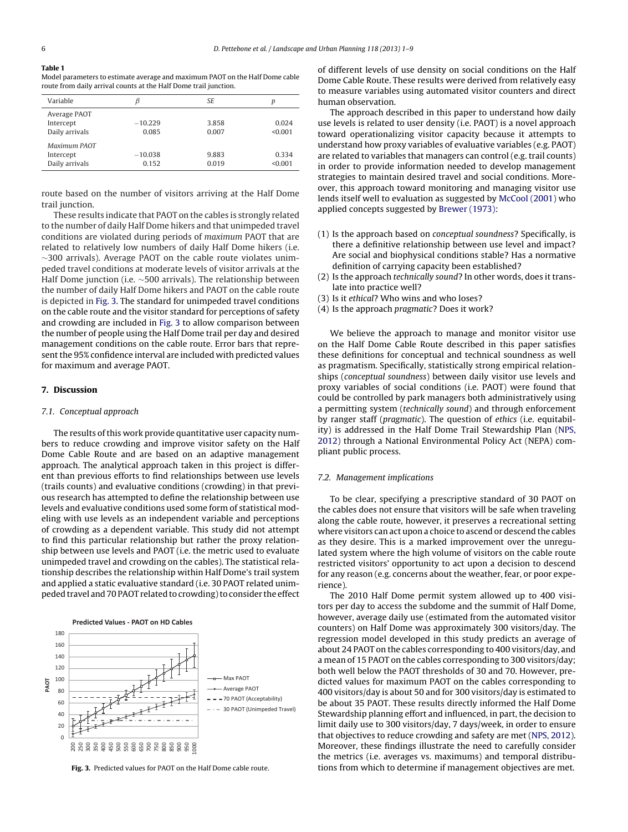#### <span id="page-5-0"></span>**Table 1**

Model parameters to estimate average and maximum PAOT on the Half Dome cable route from daily arrival counts at the Half Dome trail junction.

| Variable                                    | β                  | SE             | р                |
|---------------------------------------------|--------------------|----------------|------------------|
| Average PAOT<br>Intercept<br>Daily arrivals | $-10.229$<br>0.085 | 3.858<br>0.007 | 0.024<br>< 0.001 |
| Maximum PAOT<br>Intercept<br>Daily arrivals | $-10.038$<br>0.152 | 9.883<br>0.019 | 0.334<br>< 0.001 |

route based on the number of visitors arriving at the Half Dome trail junction.

These results indicate that PAOT on the cables is strongly related to the number of daily Half Dome hikers and that unimpeded travel conditions are violated during periods of maximum PAOT that are related to relatively low numbers of daily Half Dome hikers (i.e. ∼300 arrivals). Average PAOT on the cable route violates unimpeded travel conditions at moderate levels of visitor arrivals at the Half Dome junction (i.e. ∼500 arrivals). The relationship between the number of daily Half Dome hikers and PAOT on the cable route is depicted in Fig. 3. The standard for unimpeded travel conditions on the cable route and the visitor standard for perceptions of safety and crowding are included in Fig. 3 to allow comparison between the number of people using the Half Dome trail per day and desired management conditions on the cable route. Error bars that represent the 95% confidence interval are included with predicted values for maximum and average PAOT.

# **7. Discussion**

# 7.1. Conceptual approach

The results of this work provide quantitative user capacity numbers to reduce crowding and improve visitor safety on the Half Dome Cable Route and are based on an adaptive management approach. The analytical approach taken in this project is different than previous efforts to find relationships between use levels (trails counts) and evaluative conditions (crowding) in that previous research has attempted to define the relationship between use levels and evaluative conditions used some form of statistical modeling with use levels as an independent variable and perceptions of crowding as a dependent variable. This study did not attempt to find this particular relationship but rather the proxy relationship between use levels and PAOT (i.e. the metric used to evaluate unimpeded travel and crowding on the cables). The statistical relationship describes the relationship within Half Dome's trail system and applied a static evaluative standard (i.e. 30 PAOT related unimpeded travel and 70 PAOT related to crowding) to consider the effect



**Fig. 3.** Predicted values for PAOT on the Half Dome cable route.

of different levels of use density on social conditions on the Half Dome Cable Route. These results were derived from relatively easy to measure variables using automated visitor counters and direct human observation.

The approach described in this paper to understand how daily use levels is related to user density (i.e. PAOT) is a novel approach toward operationalizing visitor capacity because it attempts to understand how proxy variables of evaluative variables (e.g. PAOT) are related to variables that managers can control (e.g. trail counts) in order to provide information needed to develop management strategies to maintain desired travel and social conditions. Moreover, this approach toward monitoring and managing visitor use lends itself well to evaluation as suggested by [McCool](#page-7-0) [\(2001\)](#page-7-0) who applied concepts suggested by [Brewer](#page-7-0) [\(1973\):](#page-7-0)

- (1) Is the approach based on conceptual soundness? Specifically, is there a definitive relationship between use level and impact? Are social and biophysical conditions stable? Has a normative definition of carrying capacity been established?
- (2) Is the approach technically sound? In other words, does it translate into practice well?
- (3) Is it ethical? Who wins and who loses?
- (4) Is the approach pragmatic? Does it work?

We believe the approach to manage and monitor visitor use on the Half Dome Cable Route described in this paper satisfies these definitions for conceptual and technical soundness as well as pragmatism. Specifically, statistically strong empirical relationships (conceptual soundness) between daily visitor use levels and proxy variables of social conditions (i.e. PAOT) were found that could be controlled by park managers both administratively using a permitting system (technically sound) and through enforcement by ranger staff (pragmatic). The question of ethics (i.e. equitability) is addressed in the Half Dome Trail Stewardship Plan ([NPS,](#page-7-0) [2012\)](#page-7-0) through a National Environmental Policy Act (NEPA) compliant public process.

### 7.2. Management implications

To be clear, specifying a prescriptive standard of 30 PAOT on the cables does not ensure that visitors will be safe when traveling along the cable route, however, it preserves a recreational setting where visitors can act upon a choice to ascend or descend the cables as they desire. This is a marked improvement over the unregulated system where the high volume of visitors on the cable route restricted visitors' opportunity to act upon a decision to descend for any reason (e.g. concerns about the weather, fear, or poor experience).

The 2010 Half Dome permit system allowed up to 400 visitors per day to access the subdome and the summit of Half Dome, however, average daily use (estimated from the automated visitor counters) on Half Dome was approximately 300 visitors/day. The regression model developed in this study predicts an average of about 24 PAOT on the cables corresponding to 400 visitors/day, and a mean of 15 PAOT on the cables corresponding to 300 visitors/day; both well below the PAOT thresholds of 30 and 70. However, predicted values for maximum PAOT on the cables corresponding to 400 visitors/day is about 50 and for 300 visitors/day is estimated to be about 35 PAOT. These results directly informed the Half Dome Stewardship planning effort and influenced, in part, the decision to limit daily use to 300 visitors/day, 7 days/week, in order to ensure that objectives to reduce crowding and safety are met ([NPS,](#page-7-0) [2012\).](#page-7-0) Moreover, these findings illustrate the need to carefully consider the metrics (i.e. averages vs. maximums) and temporal distributions from which to determine if management objectives are met.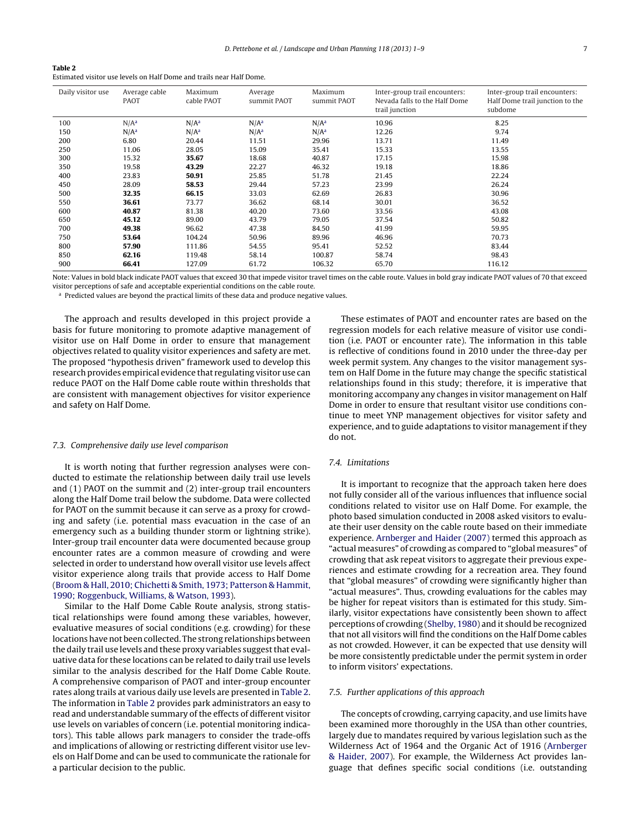| Table 2                                                              |
|----------------------------------------------------------------------|
| Estimated visitor use levels on Half Dome and trails near Half Dome. |

| Daily visitor use | Average cable<br>PAOT | Maximum<br>cable PAOT | Average<br>summit PAOT | Maximum<br>summit PAOT | Inter-group trail encounters:<br>Nevada falls to the Half Dome<br>trail junction | Inter-group trail encounters:<br>Half Dome trail junction to the<br>subdome |
|-------------------|-----------------------|-----------------------|------------------------|------------------------|----------------------------------------------------------------------------------|-----------------------------------------------------------------------------|
| 100               | N/A <sup>a</sup>      | N/A <sup>a</sup>      | N/A <sup>a</sup>       | N/A <sup>a</sup>       | 10.96                                                                            | 8.25                                                                        |
| 150               | N/A <sup>a</sup>      | N/A <sup>a</sup>      | N/A <sup>a</sup>       | N/A <sup>a</sup>       | 12.26                                                                            | 9.74                                                                        |
| 200               | 6.80                  | 20.44                 | 11.51                  | 29.96                  | 13.71                                                                            | 11.49                                                                       |
| 250               | 11.06                 | 28.05                 | 15.09                  | 35.41                  | 15.33                                                                            | 13.55                                                                       |
| 300               | 15.32                 | 35.67                 | 18.68                  | 40.87                  | 17.15                                                                            | 15.98                                                                       |
| 350               | 19.58                 | 43.29                 | 22.27                  | 46.32                  | 19.18                                                                            | 18.86                                                                       |
| 400               | 23.83                 | 50.91                 | 25.85                  | 51.78                  | 21.45                                                                            | 22.24                                                                       |
| 450               | 28.09                 | 58.53                 | 29.44                  | 57.23                  | 23.99                                                                            | 26.24                                                                       |
| 500               | 32.35                 | 66.15                 | 33.03                  | 62.69                  | 26.83                                                                            | 30.96                                                                       |
| 550               | 36.61                 | 73.77                 | 36.62                  | 68.14                  | 30.01                                                                            | 36.52                                                                       |
| 600               | 40.87                 | 81.38                 | 40.20                  | 73.60                  | 33.56                                                                            | 43.08                                                                       |
| 650               | 45.12                 | 89.00                 | 43.79                  | 79.05                  | 37.54                                                                            | 50.82                                                                       |
| 700               | 49.38                 | 96.62                 | 47.38                  | 84.50                  | 41.99                                                                            | 59.95                                                                       |
| 750               | 53.64                 | 104.24                | 50.96                  | 89.96                  | 46.96                                                                            | 70.73                                                                       |
| 800               | 57.90                 | 111.86                | 54.55                  | 95.41                  | 52.52                                                                            | 83.44                                                                       |
| 850               | 62.16                 | 119.48                | 58.14                  | 100.87                 | 58.74                                                                            | 98.43                                                                       |
| 900               | 66.41                 | 127.09                | 61.72                  | 106.32                 | 65.70                                                                            | 116.12                                                                      |

Note: Values in bold black indicate PAOT values that exceed 30 that impede visitor travel times on the cable route. Values in bold gray indicate PAOT values of 70 that exceed visitor perceptions of safe and acceptable experiential conditions on the cable route.

a Predicted values are beyond the practical limits of these data and produce negative values.

The approach and results developed in this project provide a basis for future monitoring to promote adaptive management of visitor use on Half Dome in order to ensure that management objectives related to quality visitor experiences and safety are met. The proposed "hypothesis driven" framework used to develop this research provides empirical evidence that regulating visitor use can reduce PAOT on the Half Dome cable route within thresholds that are consistent with management objectives for visitor experience and safety on Half Dome.

#### 7.3. Comprehensive daily use level comparison

It is worth noting that further regression analyses were conducted to estimate the relationship between daily trail use levels and (1) PAOT on the summit and (2) inter-group trail encounters along the Half Dome trail below the subdome. Data were collected for PAOT on the summit because it can serve as a proxy for crowding and safety (i.e. potential mass evacuation in the case of an emergency such as a building thunder storm or lightning strike). Inter-group trail encounter data were documented because group encounter rates are a common measure of crowding and were selected in order to understand how overall visitor use levels affect visitor experience along trails that provide access to Half Dome ([Broom](#page-7-0) [&](#page-7-0) [Hall,](#page-7-0) [2010;](#page-7-0) [Chichetti](#page-7-0) [&](#page-7-0) [Smith,](#page-7-0) [1973;](#page-7-0) [Patterson](#page-7-0) [&](#page-7-0) [Hammit,](#page-7-0) [1990;](#page-7-0) [Roggenbuck,](#page-7-0) [Williams,](#page-7-0) [&](#page-7-0) [Watson,](#page-7-0) [1993\).](#page-7-0)

Similar to the Half Dome Cable Route analysis, strong statistical relationships were found among these variables, however, evaluative measures of social conditions (e.g. crowding) for these locations have not been collected. The strong relationships between the daily trail use levels and these proxy variables suggest that evaluative data for these locations can be related to daily trail use levels similar to the analysis described for the Half Dome Cable Route. A comprehensive comparison of PAOT and inter-group encounter rates along trails at various daily use levels are presented in Table 2. The information in Table 2 provides park administrators an easy to read and understandable summary of the effects of different visitor use levels on variables of concern (i.e. potential monitoring indicators). This table allows park managers to consider the trade-offs and implications of allowing or restricting different visitor use levels on Half Dome and can be used to communicate the rationale for a particular decision to the public.

These estimates of PAOT and encounter rates are based on the regression models for each relative measure of visitor use condition (i.e. PAOT or encounter rate). The information in this table is reflective of conditions found in 2010 under the three-day per week permit system. Any changes to the visitor management system on Half Dome in the future may change the specific statistical relationships found in this study; therefore, it is imperative that monitoring accompany any changes in visitor management on Half Dome in order to ensure that resultant visitor use conditions continue to meet YNP management objectives for visitor safety and experience, and to guide adaptations to visitor management if they do not.

# 7.4. Limitations

It is important to recognize that the approach taken here does not fully consider all of the various influences that influence social conditions related to visitor use on Half Dome. For example, the photo based simulation conducted in 2008 asked visitors to evaluate their user density on the cable route based on their immediate experience. [Arnberger](#page-7-0) [and](#page-7-0) [Haider](#page-7-0) [\(2007\)](#page-7-0) termed this approach as "actual measures" of crowding as compared to "global measures" of crowding that ask repeat visitors to aggregate their previous experiences and estimate crowding for a recreation area. They found that "global measures" of crowding were significantly higher than "actual measures". Thus, crowding evaluations for the cables may be higher for repeat visitors than is estimated for this study. Similarly, visitor expectations have consistently been shown to affect perceptions of crowding [\(Shelby,](#page-8-0) [1980\)](#page-8-0) and it should be recognized that not all visitors will find the conditions on the Half Dome cables as not crowded. However, it can be expected that use density will be more consistently predictable under the permit system in order to inform visitors' expectations.

# 7.5. Further applications of this approach

The concepts of crowding, carrying capacity, and use limits have been examined more thoroughly in the USA than other countries, largely due to mandates required by various legislation such as the Wilderness Act of 1964 and the Organic Act of 1916 [\(Arnberger](#page-7-0) [&](#page-7-0) [Haider,](#page-7-0) [2007\).](#page-7-0) For example, the Wilderness Act provides language that defines specific social conditions (i.e. outstanding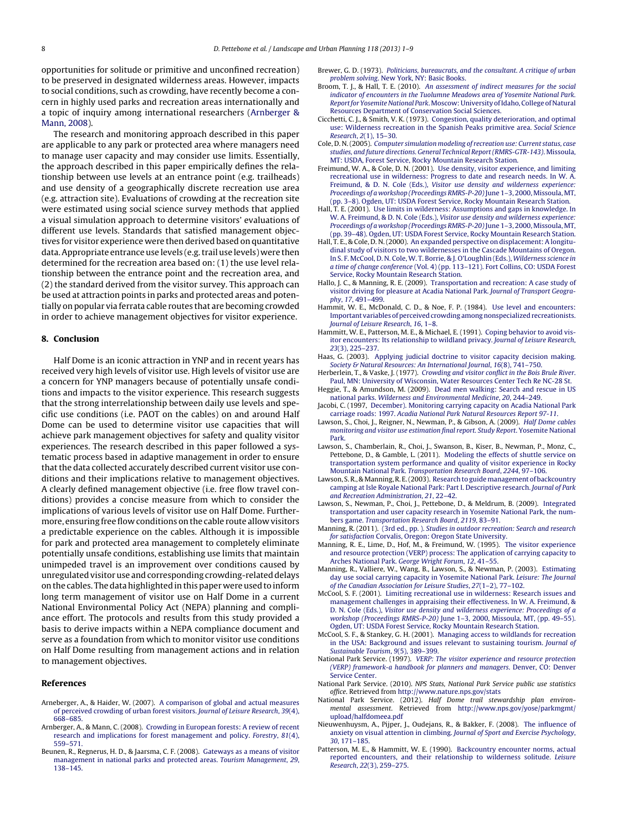<span id="page-7-0"></span>opportunities for solitude or primitive and unconfined recreation) to be preserved in designated wilderness areas. However, impacts to social conditions, such as crowding, have recently become a concern in highly used parks and recreation areas internationally and a topic of inquiry among international researchers (Arnberger & Mann, 2008).

The research and monitoring approach described in this paper are applicable to any park or protected area where managers need to manage user capacity and may consider use limits. Essentially, the approach described in this paper empirically defines the relationship between use levels at an entrance point (e.g. trailheads) and use density of a geographically discrete recreation use area (e.g. attraction site). Evaluations of crowding at the recreation site were estimated using social science survey methods that applied a visual simulation approach to determine visitors' evaluations of different use levels. Standards that satisfied management objectives for visitor experience were then derived based on quantitative data. Appropriate entrance use levels (e.g. trail use levels) were then determined for the recreation area based on: (1) the use level relationship between the entrance point and the recreation area, and (2) the standard derived from the visitor survey. This approach can be used at attraction points in parks and protected areas and potentially on popular via ferrata cable routes that are becoming crowded in order to achieve management objectives for visitor experience.

#### **8. Conclusion**

Half Dome is an iconic attraction in YNP and in recent years has received very high levels of visitor use. High levels of visitor use are a concern for YNP managers because of potentially unsafe conditions and impacts to the visitor experience. This research suggests that the strong interrelationship between daily use levels and specific use conditions (i.e. PAOT on the cables) on and around Half Dome can be used to determine visitor use capacities that will achieve park management objectives for safety and quality visitor experiences. The research described in this paper followed a systematic process based in adaptive management in order to ensure that the data collected accurately described current visitor use conditions and their implications relative to management objectives. A clearly defined management objective (i.e. free flow travel conditions) provides a concise measure from which to consider the implications of various levels of visitor use on Half Dome. Furthermore, ensuring free flow conditions on the cable route allow visitors a predictable experience on the cables. Although it is impossible for park and protected area management to completely eliminate potentially unsafe conditions, establishing use limits that maintain unimpeded travel is an improvement over conditions caused by unregulated visitor use and corresponding crowding-related delays on the cables. The data highlighted in this paper were used to inform long term management of visitor use on Half Dome in a current National Environmental Policy Act (NEPA) planning and compliance effort. The protocols and results from this study provided a basis to derive impacts within a NEPA compliance document and serve as a foundation from which to monitor visitor use conditions on Half Dome resulting from management actions and in relation to management objectives.

#### **References**

- Arneberger, A., & Haider, W. (2007). [A](http://refhub.elsevier.com/S0169-2046(13)00098-4/sbref0005) [comparison](http://refhub.elsevier.com/S0169-2046(13)00098-4/sbref0005) [of](http://refhub.elsevier.com/S0169-2046(13)00098-4/sbref0005) [global](http://refhub.elsevier.com/S0169-2046(13)00098-4/sbref0005) [and](http://refhub.elsevier.com/S0169-2046(13)00098-4/sbref0005) [actual](http://refhub.elsevier.com/S0169-2046(13)00098-4/sbref0005) [measures](http://refhub.elsevier.com/S0169-2046(13)00098-4/sbref0005) [of](http://refhub.elsevier.com/S0169-2046(13)00098-4/sbref0005) [perceived](http://refhub.elsevier.com/S0169-2046(13)00098-4/sbref0005) [crowding](http://refhub.elsevier.com/S0169-2046(13)00098-4/sbref0005) [of](http://refhub.elsevier.com/S0169-2046(13)00098-4/sbref0005) [urban](http://refhub.elsevier.com/S0169-2046(13)00098-4/sbref0005) [forest](http://refhub.elsevier.com/S0169-2046(13)00098-4/sbref0005) [visitors.](http://refhub.elsevier.com/S0169-2046(13)00098-4/sbref0005) [Journal](http://refhub.elsevier.com/S0169-2046(13)00098-4/sbref0005) [of](http://refhub.elsevier.com/S0169-2046(13)00098-4/sbref0005) [Leisure](http://refhub.elsevier.com/S0169-2046(13)00098-4/sbref0005) [Research](http://refhub.elsevier.com/S0169-2046(13)00098-4/sbref0005)[,](http://refhub.elsevier.com/S0169-2046(13)00098-4/sbref0005) [39](http://refhub.elsevier.com/S0169-2046(13)00098-4/sbref0005)[\(4\),](http://refhub.elsevier.com/S0169-2046(13)00098-4/sbref0005) [668](http://refhub.elsevier.com/S0169-2046(13)00098-4/sbref0005)–[685.](http://refhub.elsevier.com/S0169-2046(13)00098-4/sbref0005)
- Arnberger, A., & Mann, C. (2008). [Crowding](http://refhub.elsevier.com/S0169-2046(13)00098-4/sbref0010) [in](http://refhub.elsevier.com/S0169-2046(13)00098-4/sbref0010) [European](http://refhub.elsevier.com/S0169-2046(13)00098-4/sbref0010) [forests:](http://refhub.elsevier.com/S0169-2046(13)00098-4/sbref0010) [A](http://refhub.elsevier.com/S0169-2046(13)00098-4/sbref0010) [review](http://refhub.elsevier.com/S0169-2046(13)00098-4/sbref0010) [of](http://refhub.elsevier.com/S0169-2046(13)00098-4/sbref0010) [recent](http://refhub.elsevier.com/S0169-2046(13)00098-4/sbref0010) [research](http://refhub.elsevier.com/S0169-2046(13)00098-4/sbref0010) [and](http://refhub.elsevier.com/S0169-2046(13)00098-4/sbref0010) [implications](http://refhub.elsevier.com/S0169-2046(13)00098-4/sbref0010) [for](http://refhub.elsevier.com/S0169-2046(13)00098-4/sbref0010) [forest](http://refhub.elsevier.com/S0169-2046(13)00098-4/sbref0010) [management](http://refhub.elsevier.com/S0169-2046(13)00098-4/sbref0010) [and](http://refhub.elsevier.com/S0169-2046(13)00098-4/sbref0010) [policy.](http://refhub.elsevier.com/S0169-2046(13)00098-4/sbref0010) [Forestry](http://refhub.elsevier.com/S0169-2046(13)00098-4/sbref0010)[,](http://refhub.elsevier.com/S0169-2046(13)00098-4/sbref0010) [81](http://refhub.elsevier.com/S0169-2046(13)00098-4/sbref0010)[\(4\),](http://refhub.elsevier.com/S0169-2046(13)00098-4/sbref0010) [559](http://refhub.elsevier.com/S0169-2046(13)00098-4/sbref0010)–[571.](http://refhub.elsevier.com/S0169-2046(13)00098-4/sbref0010)
- Beunen, R., Regnerus, H. D., & Jaarsma, C. F. (2008). [Gateways](http://refhub.elsevier.com/S0169-2046(13)00098-4/sbref0015) [as](http://refhub.elsevier.com/S0169-2046(13)00098-4/sbref0015) [a](http://refhub.elsevier.com/S0169-2046(13)00098-4/sbref0015) [means](http://refhub.elsevier.com/S0169-2046(13)00098-4/sbref0015) [of](http://refhub.elsevier.com/S0169-2046(13)00098-4/sbref0015) [visitor](http://refhub.elsevier.com/S0169-2046(13)00098-4/sbref0015) [management](http://refhub.elsevier.com/S0169-2046(13)00098-4/sbref0015) [in](http://refhub.elsevier.com/S0169-2046(13)00098-4/sbref0015) [national](http://refhub.elsevier.com/S0169-2046(13)00098-4/sbref0015) [parks](http://refhub.elsevier.com/S0169-2046(13)00098-4/sbref0015) [and](http://refhub.elsevier.com/S0169-2046(13)00098-4/sbref0015) [protected](http://refhub.elsevier.com/S0169-2046(13)00098-4/sbref0015) [areas.](http://refhub.elsevier.com/S0169-2046(13)00098-4/sbref0015) [Tourism](http://refhub.elsevier.com/S0169-2046(13)00098-4/sbref0015) [Management](http://refhub.elsevier.com/S0169-2046(13)00098-4/sbref0015)[,](http://refhub.elsevier.com/S0169-2046(13)00098-4/sbref0015) [29](http://refhub.elsevier.com/S0169-2046(13)00098-4/sbref0015)[,](http://refhub.elsevier.com/S0169-2046(13)00098-4/sbref0015) [138](http://refhub.elsevier.com/S0169-2046(13)00098-4/sbref0015)–[145.](http://refhub.elsevier.com/S0169-2046(13)00098-4/sbref0015)
- Brewer, G. D. (1973). [Politicians,](http://refhub.elsevier.com/S0169-2046(13)00098-4/sbref0020) [bureaucrats,](http://refhub.elsevier.com/S0169-2046(13)00098-4/sbref0020) [and](http://refhub.elsevier.com/S0169-2046(13)00098-4/sbref0020) [the](http://refhub.elsevier.com/S0169-2046(13)00098-4/sbref0020) [consultant.](http://refhub.elsevier.com/S0169-2046(13)00098-4/sbref0020) [A](http://refhub.elsevier.com/S0169-2046(13)00098-4/sbref0020) [critique](http://refhub.elsevier.com/S0169-2046(13)00098-4/sbref0020) [of](http://refhub.elsevier.com/S0169-2046(13)00098-4/sbref0020) [urban](http://refhub.elsevier.com/S0169-2046(13)00098-4/sbref0020) [problem](http://refhub.elsevier.com/S0169-2046(13)00098-4/sbref0020) [solving](http://refhub.elsevier.com/S0169-2046(13)00098-4/sbref0020)[.](http://refhub.elsevier.com/S0169-2046(13)00098-4/sbref0020) [New](http://refhub.elsevier.com/S0169-2046(13)00098-4/sbref0020) [York,](http://refhub.elsevier.com/S0169-2046(13)00098-4/sbref0020) [NY:](http://refhub.elsevier.com/S0169-2046(13)00098-4/sbref0020) [Basic](http://refhub.elsevier.com/S0169-2046(13)00098-4/sbref0020) [Books.](http://refhub.elsevier.com/S0169-2046(13)00098-4/sbref0020)
- Broom, T. J., & Hall, T. E. (2010). [An](http://refhub.elsevier.com/S0169-2046(13)00098-4/sbref0025) [assessment](http://refhub.elsevier.com/S0169-2046(13)00098-4/sbref0025) [of](http://refhub.elsevier.com/S0169-2046(13)00098-4/sbref0025) [indirect](http://refhub.elsevier.com/S0169-2046(13)00098-4/sbref0025) [measures](http://refhub.elsevier.com/S0169-2046(13)00098-4/sbref0025) [for](http://refhub.elsevier.com/S0169-2046(13)00098-4/sbref0025) [the](http://refhub.elsevier.com/S0169-2046(13)00098-4/sbref0025) [social](http://refhub.elsevier.com/S0169-2046(13)00098-4/sbref0025) [indicator](http://refhub.elsevier.com/S0169-2046(13)00098-4/sbref0025) [of](http://refhub.elsevier.com/S0169-2046(13)00098-4/sbref0025) [encounters](http://refhub.elsevier.com/S0169-2046(13)00098-4/sbref0025) [in](http://refhub.elsevier.com/S0169-2046(13)00098-4/sbref0025) [the](http://refhub.elsevier.com/S0169-2046(13)00098-4/sbref0025) [Tuolumne](http://refhub.elsevier.com/S0169-2046(13)00098-4/sbref0025) [Meadows](http://refhub.elsevier.com/S0169-2046(13)00098-4/sbref0025) [area](http://refhub.elsevier.com/S0169-2046(13)00098-4/sbref0025) [of](http://refhub.elsevier.com/S0169-2046(13)00098-4/sbref0025) [Yosemite](http://refhub.elsevier.com/S0169-2046(13)00098-4/sbref0025) [National](http://refhub.elsevier.com/S0169-2046(13)00098-4/sbref0025) [Park.](http://refhub.elsevier.com/S0169-2046(13)00098-4/sbref0025) Report for [Yosemite](http://refhub.elsevier.com/S0169-2046(13)00098-4/sbref0025) [National](http://refhub.elsevier.com/S0169-2046(13)00098-4/sbref0025) [Park](http://refhub.elsevier.com/S0169-2046(13)00098-4/sbref0025). [Moscow:](http://refhub.elsevier.com/S0169-2046(13)00098-4/sbref0025) [University](http://refhub.elsevier.com/S0169-2046(13)00098-4/sbref0025) of Idaho, College of Natural [Resources](http://refhub.elsevier.com/S0169-2046(13)00098-4/sbref0025) [Department](http://refhub.elsevier.com/S0169-2046(13)00098-4/sbref0025) [of](http://refhub.elsevier.com/S0169-2046(13)00098-4/sbref0025) [Conservation](http://refhub.elsevier.com/S0169-2046(13)00098-4/sbref0025) [Social](http://refhub.elsevier.com/S0169-2046(13)00098-4/sbref0025) [Sciences.](http://refhub.elsevier.com/S0169-2046(13)00098-4/sbref0025)
- Cicchetti, C. J., & Smith, V. K. (1973). [Congestion,](http://refhub.elsevier.com/S0169-2046(13)00098-4/sbref0030) [quality](http://refhub.elsevier.com/S0169-2046(13)00098-4/sbref0030) [deterioration,](http://refhub.elsevier.com/S0169-2046(13)00098-4/sbref0030) [and](http://refhub.elsevier.com/S0169-2046(13)00098-4/sbref0030) [optimal](http://refhub.elsevier.com/S0169-2046(13)00098-4/sbref0030) [use:](http://refhub.elsevier.com/S0169-2046(13)00098-4/sbref0030) [Wilderness](http://refhub.elsevier.com/S0169-2046(13)00098-4/sbref0030) [recreation](http://refhub.elsevier.com/S0169-2046(13)00098-4/sbref0030) [in](http://refhub.elsevier.com/S0169-2046(13)00098-4/sbref0030) [the](http://refhub.elsevier.com/S0169-2046(13)00098-4/sbref0030) [Spanish](http://refhub.elsevier.com/S0169-2046(13)00098-4/sbref0030) [Peaks](http://refhub.elsevier.com/S0169-2046(13)00098-4/sbref0030) [primitive](http://refhub.elsevier.com/S0169-2046(13)00098-4/sbref0030) [area.](http://refhub.elsevier.com/S0169-2046(13)00098-4/sbref0030) [Social](http://refhub.elsevier.com/S0169-2046(13)00098-4/sbref0030) [Science](http://refhub.elsevier.com/S0169-2046(13)00098-4/sbref0030) [Research](http://refhub.elsevier.com/S0169-2046(13)00098-4/sbref0030), [2](http://refhub.elsevier.com/S0169-2046(13)00098-4/sbref0030)[\(1\),](http://refhub.elsevier.com/S0169-2046(13)00098-4/sbref0030) [15](http://refhub.elsevier.com/S0169-2046(13)00098-4/sbref0030)–[30.](http://refhub.elsevier.com/S0169-2046(13)00098-4/sbref0030)
- Cole, D. N.(2005). [Computer](http://refhub.elsevier.com/S0169-2046(13)00098-4/sbref0035) [simulation](http://refhub.elsevier.com/S0169-2046(13)00098-4/sbref0035) [modeling](http://refhub.elsevier.com/S0169-2046(13)00098-4/sbref0035) [of](http://refhub.elsevier.com/S0169-2046(13)00098-4/sbref0035) [recreation](http://refhub.elsevier.com/S0169-2046(13)00098-4/sbref0035) [use:](http://refhub.elsevier.com/S0169-2046(13)00098-4/sbref0035) [Current](http://refhub.elsevier.com/S0169-2046(13)00098-4/sbref0035) [status,](http://refhub.elsevier.com/S0169-2046(13)00098-4/sbref0035) [case](http://refhub.elsevier.com/S0169-2046(13)00098-4/sbref0035) [studies,](http://refhub.elsevier.com/S0169-2046(13)00098-4/sbref0035) [and](http://refhub.elsevier.com/S0169-2046(13)00098-4/sbref0035) [future](http://refhub.elsevier.com/S0169-2046(13)00098-4/sbref0035) [directions.](http://refhub.elsevier.com/S0169-2046(13)00098-4/sbref0035) [General](http://refhub.elsevier.com/S0169-2046(13)00098-4/sbref0035) [Technical](http://refhub.elsevier.com/S0169-2046(13)00098-4/sbref0035) [Report\(RMRS-GTR-143\)](http://refhub.elsevier.com/S0169-2046(13)00098-4/sbref0035)[.](http://refhub.elsevier.com/S0169-2046(13)00098-4/sbref0035) [Missoula,](http://refhub.elsevier.com/S0169-2046(13)00098-4/sbref0035) [MT:](http://refhub.elsevier.com/S0169-2046(13)00098-4/sbref0035) [USDA,](http://refhub.elsevier.com/S0169-2046(13)00098-4/sbref0035) [Forest](http://refhub.elsevier.com/S0169-2046(13)00098-4/sbref0035) [Service,](http://refhub.elsevier.com/S0169-2046(13)00098-4/sbref0035) [Rocky](http://refhub.elsevier.com/S0169-2046(13)00098-4/sbref0035) [Mountain](http://refhub.elsevier.com/S0169-2046(13)00098-4/sbref0035) [Research](http://refhub.elsevier.com/S0169-2046(13)00098-4/sbref0035) [Station.](http://refhub.elsevier.com/S0169-2046(13)00098-4/sbref0035)
- Freimund, W. A., & Cole, D. N. (2001). [Use](http://refhub.elsevier.com/S0169-2046(13)00098-4/sbref0040) [density,](http://refhub.elsevier.com/S0169-2046(13)00098-4/sbref0040) [visitor](http://refhub.elsevier.com/S0169-2046(13)00098-4/sbref0040) [experience,](http://refhub.elsevier.com/S0169-2046(13)00098-4/sbref0040) [and](http://refhub.elsevier.com/S0169-2046(13)00098-4/sbref0040) [limiting](http://refhub.elsevier.com/S0169-2046(13)00098-4/sbref0040) [recreational](http://refhub.elsevier.com/S0169-2046(13)00098-4/sbref0040) [use](http://refhub.elsevier.com/S0169-2046(13)00098-4/sbref0040) [in](http://refhub.elsevier.com/S0169-2046(13)00098-4/sbref0040) [wilderness:](http://refhub.elsevier.com/S0169-2046(13)00098-4/sbref0040) [Progress](http://refhub.elsevier.com/S0169-2046(13)00098-4/sbref0040) [to](http://refhub.elsevier.com/S0169-2046(13)00098-4/sbref0040) [date](http://refhub.elsevier.com/S0169-2046(13)00098-4/sbref0040) [and](http://refhub.elsevier.com/S0169-2046(13)00098-4/sbref0040) [research](http://refhub.elsevier.com/S0169-2046(13)00098-4/sbref0040) [needs.](http://refhub.elsevier.com/S0169-2046(13)00098-4/sbref0040) [In](http://refhub.elsevier.com/S0169-2046(13)00098-4/sbref0040) [W.](http://refhub.elsevier.com/S0169-2046(13)00098-4/sbref0040) [A.](http://refhub.elsevier.com/S0169-2046(13)00098-4/sbref0040) [Freimund,](http://refhub.elsevier.com/S0169-2046(13)00098-4/sbref0040) [&](http://refhub.elsevier.com/S0169-2046(13)00098-4/sbref0040) [D.](http://refhub.elsevier.com/S0169-2046(13)00098-4/sbref0040) [N.](http://refhub.elsevier.com/S0169-2046(13)00098-4/sbref0040) [Cole](http://refhub.elsevier.com/S0169-2046(13)00098-4/sbref0040) [\(Eds.\),](http://refhub.elsevier.com/S0169-2046(13)00098-4/sbref0040) [Visitor](http://refhub.elsevier.com/S0169-2046(13)00098-4/sbref0040) [use](http://refhub.elsevier.com/S0169-2046(13)00098-4/sbref0040) [density](http://refhub.elsevier.com/S0169-2046(13)00098-4/sbref0040) [and](http://refhub.elsevier.com/S0169-2046(13)00098-4/sbref0040) [wilderness](http://refhub.elsevier.com/S0169-2046(13)00098-4/sbref0040) [experience:](http://refhub.elsevier.com/S0169-2046(13)00098-4/sbref0040) [Proceedings](http://refhub.elsevier.com/S0169-2046(13)00098-4/sbref0040) [of](http://refhub.elsevier.com/S0169-2046(13)00098-4/sbref0040) [a](http://refhub.elsevier.com/S0169-2046(13)00098-4/sbref0040) [workshop](http://refhub.elsevier.com/S0169-2046(13)00098-4/sbref0040) [\(Proceedings](http://refhub.elsevier.com/S0169-2046(13)00098-4/sbref0040) [RMRS-P-20\)](http://refhub.elsevier.com/S0169-2046(13)00098-4/sbref0040)[June](http://refhub.elsevier.com/S0169-2046(13)00098-4/sbref0040) [1–3,](http://refhub.elsevier.com/S0169-2046(13)00098-4/sbref0040) [2000,](http://refhub.elsevier.com/S0169-2046(13)00098-4/sbref0040) [Missoula,](http://refhub.elsevier.com/S0169-2046(13)00098-4/sbref0040) [MT,](http://refhub.elsevier.com/S0169-2046(13)00098-4/sbref0040) [\(pp.](http://refhub.elsevier.com/S0169-2046(13)00098-4/sbref0040) [3–8\).](http://refhub.elsevier.com/S0169-2046(13)00098-4/sbref0040) [Ogden,](http://refhub.elsevier.com/S0169-2046(13)00098-4/sbref0040) [UT:](http://refhub.elsevier.com/S0169-2046(13)00098-4/sbref0040) [USDA](http://refhub.elsevier.com/S0169-2046(13)00098-4/sbref0040) [Forest](http://refhub.elsevier.com/S0169-2046(13)00098-4/sbref0040) [Service,](http://refhub.elsevier.com/S0169-2046(13)00098-4/sbref0040) [Rocky](http://refhub.elsevier.com/S0169-2046(13)00098-4/sbref0040) [Mountain](http://refhub.elsevier.com/S0169-2046(13)00098-4/sbref0040) [Research](http://refhub.elsevier.com/S0169-2046(13)00098-4/sbref0040) [Station.](http://refhub.elsevier.com/S0169-2046(13)00098-4/sbref0040)
- Hall, T. E. (2001). [Use](http://refhub.elsevier.com/S0169-2046(13)00098-4/sbref0045) [limits](http://refhub.elsevier.com/S0169-2046(13)00098-4/sbref0045) [in](http://refhub.elsevier.com/S0169-2046(13)00098-4/sbref0045) [wilderness:](http://refhub.elsevier.com/S0169-2046(13)00098-4/sbref0045) [Assumptions](http://refhub.elsevier.com/S0169-2046(13)00098-4/sbref0045) [and](http://refhub.elsevier.com/S0169-2046(13)00098-4/sbref0045) [gaps](http://refhub.elsevier.com/S0169-2046(13)00098-4/sbref0045) [in](http://refhub.elsevier.com/S0169-2046(13)00098-4/sbref0045) [knowledge.](http://refhub.elsevier.com/S0169-2046(13)00098-4/sbref0045) [In](http://refhub.elsevier.com/S0169-2046(13)00098-4/sbref0045) [W.](http://refhub.elsevier.com/S0169-2046(13)00098-4/sbref0045) [A.](http://refhub.elsevier.com/S0169-2046(13)00098-4/sbref0045) [Freimund,](http://refhub.elsevier.com/S0169-2046(13)00098-4/sbref0045) [&](http://refhub.elsevier.com/S0169-2046(13)00098-4/sbref0045) [D.](http://refhub.elsevier.com/S0169-2046(13)00098-4/sbref0045) [N.](http://refhub.elsevier.com/S0169-2046(13)00098-4/sbref0045) [Cole](http://refhub.elsevier.com/S0169-2046(13)00098-4/sbref0045) [\(Eds.\),](http://refhub.elsevier.com/S0169-2046(13)00098-4/sbref0045) [Visitor](http://refhub.elsevier.com/S0169-2046(13)00098-4/sbref0045) [use](http://refhub.elsevier.com/S0169-2046(13)00098-4/sbref0045) [density](http://refhub.elsevier.com/S0169-2046(13)00098-4/sbref0045) [and](http://refhub.elsevier.com/S0169-2046(13)00098-4/sbref0045) [wilderness](http://refhub.elsevier.com/S0169-2046(13)00098-4/sbref0045) [experience:](http://refhub.elsevier.com/S0169-2046(13)00098-4/sbref0045) [Proceedings](http://refhub.elsevier.com/S0169-2046(13)00098-4/sbref0045) [of](http://refhub.elsevier.com/S0169-2046(13)00098-4/sbref0045) [a](http://refhub.elsevier.com/S0169-2046(13)00098-4/sbref0045) [workshop](http://refhub.elsevier.com/S0169-2046(13)00098-4/sbref0045) [\(Proceedings](http://refhub.elsevier.com/S0169-2046(13)00098-4/sbref0045) [RMRS-P-20\)](http://refhub.elsevier.com/S0169-2046(13)00098-4/sbref0045)[June](http://refhub.elsevier.com/S0169-2046(13)00098-4/sbref0045) [1–3,](http://refhub.elsevier.com/S0169-2046(13)00098-4/sbref0045) [2000,](http://refhub.elsevier.com/S0169-2046(13)00098-4/sbref0045) [Missoula,](http://refhub.elsevier.com/S0169-2046(13)00098-4/sbref0045) [MT,](http://refhub.elsevier.com/S0169-2046(13)00098-4/sbref0045) [\(pp.](http://refhub.elsevier.com/S0169-2046(13)00098-4/sbref0045) [39–48\).](http://refhub.elsevier.com/S0169-2046(13)00098-4/sbref0045) [Ogden,](http://refhub.elsevier.com/S0169-2046(13)00098-4/sbref0045) [UT:](http://refhub.elsevier.com/S0169-2046(13)00098-4/sbref0045) [USDA](http://refhub.elsevier.com/S0169-2046(13)00098-4/sbref0045) [Forest](http://refhub.elsevier.com/S0169-2046(13)00098-4/sbref0045) [Service,](http://refhub.elsevier.com/S0169-2046(13)00098-4/sbref0045) [Rocky](http://refhub.elsevier.com/S0169-2046(13)00098-4/sbref0045) [Mountain](http://refhub.elsevier.com/S0169-2046(13)00098-4/sbref0045) [Research](http://refhub.elsevier.com/S0169-2046(13)00098-4/sbref0045) [Station.](http://refhub.elsevier.com/S0169-2046(13)00098-4/sbref0045)
- Hall, T. E., & Cole, D. N.(2000). [An](http://refhub.elsevier.com/S0169-2046(13)00098-4/sbref0050) [expanded](http://refhub.elsevier.com/S0169-2046(13)00098-4/sbref0050) [perspective](http://refhub.elsevier.com/S0169-2046(13)00098-4/sbref0050) [on](http://refhub.elsevier.com/S0169-2046(13)00098-4/sbref0050) [displacement:](http://refhub.elsevier.com/S0169-2046(13)00098-4/sbref0050) [A](http://refhub.elsevier.com/S0169-2046(13)00098-4/sbref0050) [longitu](http://refhub.elsevier.com/S0169-2046(13)00098-4/sbref0050)[dinal](http://refhub.elsevier.com/S0169-2046(13)00098-4/sbref0050) [study](http://refhub.elsevier.com/S0169-2046(13)00098-4/sbref0050) [of](http://refhub.elsevier.com/S0169-2046(13)00098-4/sbref0050) [visitors](http://refhub.elsevier.com/S0169-2046(13)00098-4/sbref0050) [to](http://refhub.elsevier.com/S0169-2046(13)00098-4/sbref0050) [two](http://refhub.elsevier.com/S0169-2046(13)00098-4/sbref0050) [wildernesses](http://refhub.elsevier.com/S0169-2046(13)00098-4/sbref0050) [in](http://refhub.elsevier.com/S0169-2046(13)00098-4/sbref0050) [the](http://refhub.elsevier.com/S0169-2046(13)00098-4/sbref0050) [Cascade](http://refhub.elsevier.com/S0169-2046(13)00098-4/sbref0050) [Mountains](http://refhub.elsevier.com/S0169-2046(13)00098-4/sbref0050) [of](http://refhub.elsevier.com/S0169-2046(13)00098-4/sbref0050) [Oregon.](http://refhub.elsevier.com/S0169-2046(13)00098-4/sbref0050) [In](http://refhub.elsevier.com/S0169-2046(13)00098-4/sbref0050) [S.](http://refhub.elsevier.com/S0169-2046(13)00098-4/sbref0050) [F.](http://refhub.elsevier.com/S0169-2046(13)00098-4/sbref0050) [McCool,](http://refhub.elsevier.com/S0169-2046(13)00098-4/sbref0050) [D.](http://refhub.elsevier.com/S0169-2046(13)00098-4/sbref0050) [N.](http://refhub.elsevier.com/S0169-2046(13)00098-4/sbref0050) [Cole,](http://refhub.elsevier.com/S0169-2046(13)00098-4/sbref0050) [W.](http://refhub.elsevier.com/S0169-2046(13)00098-4/sbref0050) [T.](http://refhub.elsevier.com/S0169-2046(13)00098-4/sbref0050) [Borrie,](http://refhub.elsevier.com/S0169-2046(13)00098-4/sbref0050) [&](http://refhub.elsevier.com/S0169-2046(13)00098-4/sbref0050) [J.](http://refhub.elsevier.com/S0169-2046(13)00098-4/sbref0050) [O'Loughlin](http://refhub.elsevier.com/S0169-2046(13)00098-4/sbref0050) [\(Eds.\),](http://refhub.elsevier.com/S0169-2046(13)00098-4/sbref0050) [Wilderness](http://refhub.elsevier.com/S0169-2046(13)00098-4/sbref0050) [science](http://refhub.elsevier.com/S0169-2046(13)00098-4/sbref0050) [in](http://refhub.elsevier.com/S0169-2046(13)00098-4/sbref0050) [a](http://refhub.elsevier.com/S0169-2046(13)00098-4/sbref0050) [time](http://refhub.elsevier.com/S0169-2046(13)00098-4/sbref0050) [of](http://refhub.elsevier.com/S0169-2046(13)00098-4/sbref0050) [change](http://refhub.elsevier.com/S0169-2046(13)00098-4/sbref0050) [conference](http://refhub.elsevier.com/S0169-2046(13)00098-4/sbref0050) [\(Vol.](http://refhub.elsevier.com/S0169-2046(13)00098-4/sbref0050) [4\)](http://refhub.elsevier.com/S0169-2046(13)00098-4/sbref0050) [\(pp.](http://refhub.elsevier.com/S0169-2046(13)00098-4/sbref0050) [113](http://refhub.elsevier.com/S0169-2046(13)00098-4/sbref0050)–[121\).](http://refhub.elsevier.com/S0169-2046(13)00098-4/sbref0050) [Fort](http://refhub.elsevier.com/S0169-2046(13)00098-4/sbref0050) [Collins,](http://refhub.elsevier.com/S0169-2046(13)00098-4/sbref0050) [CO:](http://refhub.elsevier.com/S0169-2046(13)00098-4/sbref0050) [USDA](http://refhub.elsevier.com/S0169-2046(13)00098-4/sbref0050) [Forest](http://refhub.elsevier.com/S0169-2046(13)00098-4/sbref0050) [Service,](http://refhub.elsevier.com/S0169-2046(13)00098-4/sbref0050) [Rocky](http://refhub.elsevier.com/S0169-2046(13)00098-4/sbref0050) [Mountain](http://refhub.elsevier.com/S0169-2046(13)00098-4/sbref0050) [Research](http://refhub.elsevier.com/S0169-2046(13)00098-4/sbref0050) [Station.](http://refhub.elsevier.com/S0169-2046(13)00098-4/sbref0050)
- Hallo, J. C., & Manning, R. E. (2009). [Transportation](http://refhub.elsevier.com/S0169-2046(13)00098-4/sbref0055) [and](http://refhub.elsevier.com/S0169-2046(13)00098-4/sbref0055) [recreation:](http://refhub.elsevier.com/S0169-2046(13)00098-4/sbref0055) [A](http://refhub.elsevier.com/S0169-2046(13)00098-4/sbref0055) [case](http://refhub.elsevier.com/S0169-2046(13)00098-4/sbref0055) [study](http://refhub.elsevier.com/S0169-2046(13)00098-4/sbref0055) [of](http://refhub.elsevier.com/S0169-2046(13)00098-4/sbref0055) [visitor](http://refhub.elsevier.com/S0169-2046(13)00098-4/sbref0055) [driving](http://refhub.elsevier.com/S0169-2046(13)00098-4/sbref0055) [for](http://refhub.elsevier.com/S0169-2046(13)00098-4/sbref0055) [pleasure](http://refhub.elsevier.com/S0169-2046(13)00098-4/sbref0055) [at](http://refhub.elsevier.com/S0169-2046(13)00098-4/sbref0055) [Acadia](http://refhub.elsevier.com/S0169-2046(13)00098-4/sbref0055) [National](http://refhub.elsevier.com/S0169-2046(13)00098-4/sbref0055) [Park.](http://refhub.elsevier.com/S0169-2046(13)00098-4/sbref0055) [Journal](http://refhub.elsevier.com/S0169-2046(13)00098-4/sbref0055) [of](http://refhub.elsevier.com/S0169-2046(13)00098-4/sbref0055) [Transport](http://refhub.elsevier.com/S0169-2046(13)00098-4/sbref0055) [Geogra](http://refhub.elsevier.com/S0169-2046(13)00098-4/sbref0055)[phy](http://refhub.elsevier.com/S0169-2046(13)00098-4/sbref0055), [17](http://refhub.elsevier.com/S0169-2046(13)00098-4/sbref0055)[,](http://refhub.elsevier.com/S0169-2046(13)00098-4/sbref0055) [491–499.](http://refhub.elsevier.com/S0169-2046(13)00098-4/sbref0055)
- Hammit, W. E., McDonald, C. D., & Noe, F. P. (1984). [Use](http://refhub.elsevier.com/S0169-2046(13)00098-4/sbref0060) [level](http://refhub.elsevier.com/S0169-2046(13)00098-4/sbref0060) [and](http://refhub.elsevier.com/S0169-2046(13)00098-4/sbref0060) [encounters:](http://refhub.elsevier.com/S0169-2046(13)00098-4/sbref0060) [Important](http://refhub.elsevier.com/S0169-2046(13)00098-4/sbref0060) [variables](http://refhub.elsevier.com/S0169-2046(13)00098-4/sbref0060) of perceived crowding among nonspecialized recreationists. [Journal](http://refhub.elsevier.com/S0169-2046(13)00098-4/sbref0060) [of](http://refhub.elsevier.com/S0169-2046(13)00098-4/sbref0060) [Leisure](http://refhub.elsevier.com/S0169-2046(13)00098-4/sbref0060) [Research](http://refhub.elsevier.com/S0169-2046(13)00098-4/sbref0060)[,](http://refhub.elsevier.com/S0169-2046(13)00098-4/sbref0060) [16](http://refhub.elsevier.com/S0169-2046(13)00098-4/sbref0060)[,](http://refhub.elsevier.com/S0169-2046(13)00098-4/sbref0060) [1](http://refhub.elsevier.com/S0169-2046(13)00098-4/sbref0060)–[8.](http://refhub.elsevier.com/S0169-2046(13)00098-4/sbref0060)
- Hammitt, W. E., Patterson, M. E., & Michael, E. (1991). [Coping](http://refhub.elsevier.com/S0169-2046(13)00098-4/sbref0065) [behavior](http://refhub.elsevier.com/S0169-2046(13)00098-4/sbref0065) [to](http://refhub.elsevier.com/S0169-2046(13)00098-4/sbref0065) [avoid](http://refhub.elsevier.com/S0169-2046(13)00098-4/sbref0065) [vis](http://refhub.elsevier.com/S0169-2046(13)00098-4/sbref0065)[itor](http://refhub.elsevier.com/S0169-2046(13)00098-4/sbref0065) [encounters:](http://refhub.elsevier.com/S0169-2046(13)00098-4/sbref0065) [Its](http://refhub.elsevier.com/S0169-2046(13)00098-4/sbref0065) [relationship](http://refhub.elsevier.com/S0169-2046(13)00098-4/sbref0065) [to](http://refhub.elsevier.com/S0169-2046(13)00098-4/sbref0065) [wildland](http://refhub.elsevier.com/S0169-2046(13)00098-4/sbref0065) [privacy.](http://refhub.elsevier.com/S0169-2046(13)00098-4/sbref0065) [Journal](http://refhub.elsevier.com/S0169-2046(13)00098-4/sbref0065) [of](http://refhub.elsevier.com/S0169-2046(13)00098-4/sbref0065) [Leisure](http://refhub.elsevier.com/S0169-2046(13)00098-4/sbref0065) [Research](http://refhub.elsevier.com/S0169-2046(13)00098-4/sbref0065)[,](http://refhub.elsevier.com/S0169-2046(13)00098-4/sbref0065) [23](http://refhub.elsevier.com/S0169-2046(13)00098-4/sbref0065)[\(3\),](http://refhub.elsevier.com/S0169-2046(13)00098-4/sbref0065) [225–237.](http://refhub.elsevier.com/S0169-2046(13)00098-4/sbref0065)
- Haas, G. (2003). [Applying](http://refhub.elsevier.com/S0169-2046(13)00098-4/sbref0070) [judicial](http://refhub.elsevier.com/S0169-2046(13)00098-4/sbref0070) [doctrine](http://refhub.elsevier.com/S0169-2046(13)00098-4/sbref0070) [to](http://refhub.elsevier.com/S0169-2046(13)00098-4/sbref0070) [visitor](http://refhub.elsevier.com/S0169-2046(13)00098-4/sbref0070) [capacity](http://refhub.elsevier.com/S0169-2046(13)00098-4/sbref0070) [decision](http://refhub.elsevier.com/S0169-2046(13)00098-4/sbref0070) [making.](http://refhub.elsevier.com/S0169-2046(13)00098-4/sbref0070) [Society](http://refhub.elsevier.com/S0169-2046(13)00098-4/sbref0070) [&](http://refhub.elsevier.com/S0169-2046(13)00098-4/sbref0070) [Natural](http://refhub.elsevier.com/S0169-2046(13)00098-4/sbref0070) [Resources:](http://refhub.elsevier.com/S0169-2046(13)00098-4/sbref0070) [An](http://refhub.elsevier.com/S0169-2046(13)00098-4/sbref0070) [International](http://refhub.elsevier.com/S0169-2046(13)00098-4/sbref0070) [Journal](http://refhub.elsevier.com/S0169-2046(13)00098-4/sbref0070)[,](http://refhub.elsevier.com/S0169-2046(13)00098-4/sbref0070) [16](http://refhub.elsevier.com/S0169-2046(13)00098-4/sbref0070)[\(8\),](http://refhub.elsevier.com/S0169-2046(13)00098-4/sbref0070) [741](http://refhub.elsevier.com/S0169-2046(13)00098-4/sbref0070)–[750.](http://refhub.elsevier.com/S0169-2046(13)00098-4/sbref0070)
- Herberlein, T., & Vaske, J. (1977). [Crowding](http://refhub.elsevier.com/S0169-2046(13)00098-4/sbref0075) [and](http://refhub.elsevier.com/S0169-2046(13)00098-4/sbref0075) [visitor](http://refhub.elsevier.com/S0169-2046(13)00098-4/sbref0075) [conflict](http://refhub.elsevier.com/S0169-2046(13)00098-4/sbref0075) [in](http://refhub.elsevier.com/S0169-2046(13)00098-4/sbref0075) [the](http://refhub.elsevier.com/S0169-2046(13)00098-4/sbref0075) [Bois](http://refhub.elsevier.com/S0169-2046(13)00098-4/sbref0075) [Brule](http://refhub.elsevier.com/S0169-2046(13)00098-4/sbref0075) [River](http://refhub.elsevier.com/S0169-2046(13)00098-4/sbref0075)[.](http://refhub.elsevier.com/S0169-2046(13)00098-4/sbref0075) [Paul,](http://refhub.elsevier.com/S0169-2046(13)00098-4/sbref0075) [MN:](http://refhub.elsevier.com/S0169-2046(13)00098-4/sbref0075) [University](http://refhub.elsevier.com/S0169-2046(13)00098-4/sbref0075) [of](http://refhub.elsevier.com/S0169-2046(13)00098-4/sbref0075) [Wisconsin,](http://refhub.elsevier.com/S0169-2046(13)00098-4/sbref0075) [Water](http://refhub.elsevier.com/S0169-2046(13)00098-4/sbref0075) [Resources](http://refhub.elsevier.com/S0169-2046(13)00098-4/sbref0075) [Center](http://refhub.elsevier.com/S0169-2046(13)00098-4/sbref0075) [Tech](http://refhub.elsevier.com/S0169-2046(13)00098-4/sbref0075) [Re](http://refhub.elsevier.com/S0169-2046(13)00098-4/sbref0075) [NC-28](http://refhub.elsevier.com/S0169-2046(13)00098-4/sbref0075) [St.](http://refhub.elsevier.com/S0169-2046(13)00098-4/sbref0075)
- Heggie, T., & Amundson, M. (2009). [Dead](http://refhub.elsevier.com/S0169-2046(13)00098-4/sbref0080) [men](http://refhub.elsevier.com/S0169-2046(13)00098-4/sbref0080) [walking:](http://refhub.elsevier.com/S0169-2046(13)00098-4/sbref0080) [Search](http://refhub.elsevier.com/S0169-2046(13)00098-4/sbref0080) [and](http://refhub.elsevier.com/S0169-2046(13)00098-4/sbref0080) [rescue](http://refhub.elsevier.com/S0169-2046(13)00098-4/sbref0080) [in](http://refhub.elsevier.com/S0169-2046(13)00098-4/sbref0080) [US](http://refhub.elsevier.com/S0169-2046(13)00098-4/sbref0080) [national](http://refhub.elsevier.com/S0169-2046(13)00098-4/sbref0080) [parks.](http://refhub.elsevier.com/S0169-2046(13)00098-4/sbref0080) [Wilderness](http://refhub.elsevier.com/S0169-2046(13)00098-4/sbref0080) [and](http://refhub.elsevier.com/S0169-2046(13)00098-4/sbref0080) [Environmental](http://refhub.elsevier.com/S0169-2046(13)00098-4/sbref0080) [Medicine](http://refhub.elsevier.com/S0169-2046(13)00098-4/sbref0080)[,](http://refhub.elsevier.com/S0169-2046(13)00098-4/sbref0080) [20](http://refhub.elsevier.com/S0169-2046(13)00098-4/sbref0080)[,](http://refhub.elsevier.com/S0169-2046(13)00098-4/sbref0080) [244–249.](http://refhub.elsevier.com/S0169-2046(13)00098-4/sbref0080)
- Jacobi, C. (1997, [December\).](http://refhub.elsevier.com/S0169-2046(13)00098-4/sbref0085) [Monitoring](http://refhub.elsevier.com/S0169-2046(13)00098-4/sbref0085) [carrying](http://refhub.elsevier.com/S0169-2046(13)00098-4/sbref0085) [capacity](http://refhub.elsevier.com/S0169-2046(13)00098-4/sbref0085) [on](http://refhub.elsevier.com/S0169-2046(13)00098-4/sbref0085) [Acadia](http://refhub.elsevier.com/S0169-2046(13)00098-4/sbref0085) [National](http://refhub.elsevier.com/S0169-2046(13)00098-4/sbref0085) [Park](http://refhub.elsevier.com/S0169-2046(13)00098-4/sbref0085) [carriage](http://refhub.elsevier.com/S0169-2046(13)00098-4/sbref0085) [roads:](http://refhub.elsevier.com/S0169-2046(13)00098-4/sbref0085) [1997.](http://refhub.elsevier.com/S0169-2046(13)00098-4/sbref0085) [Acadia](http://refhub.elsevier.com/S0169-2046(13)00098-4/sbref0085) [National](http://refhub.elsevier.com/S0169-2046(13)00098-4/sbref0085) [Park](http://refhub.elsevier.com/S0169-2046(13)00098-4/sbref0085) [Natural](http://refhub.elsevier.com/S0169-2046(13)00098-4/sbref0085) [Resources](http://refhub.elsevier.com/S0169-2046(13)00098-4/sbref0085) [Report](http://refhub.elsevier.com/S0169-2046(13)00098-4/sbref0085) [97-11](http://refhub.elsevier.com/S0169-2046(13)00098-4/sbref0085)[.](http://refhub.elsevier.com/S0169-2046(13)00098-4/sbref0085)
- Lawson, S., Choi, J., Reigner, N., Newman, P., & Gibson, A. (2009). [Half](http://refhub.elsevier.com/S0169-2046(13)00098-4/sbref0090) [Dome](http://refhub.elsevier.com/S0169-2046(13)00098-4/sbref0090) [cables](http://refhub.elsevier.com/S0169-2046(13)00098-4/sbref0090) [monitoring](http://refhub.elsevier.com/S0169-2046(13)00098-4/sbref0090) [and](http://refhub.elsevier.com/S0169-2046(13)00098-4/sbref0090) [visitor](http://refhub.elsevier.com/S0169-2046(13)00098-4/sbref0090) [use](http://refhub.elsevier.com/S0169-2046(13)00098-4/sbref0090) [estimation](http://refhub.elsevier.com/S0169-2046(13)00098-4/sbref0090) [final](http://refhub.elsevier.com/S0169-2046(13)00098-4/sbref0090) [report.](http://refhub.elsevier.com/S0169-2046(13)00098-4/sbref0090) [Study](http://refhub.elsevier.com/S0169-2046(13)00098-4/sbref0090) [Report](http://refhub.elsevier.com/S0169-2046(13)00098-4/sbref0090)[.](http://refhub.elsevier.com/S0169-2046(13)00098-4/sbref0090) [Yosemite](http://refhub.elsevier.com/S0169-2046(13)00098-4/sbref0090) [National](http://refhub.elsevier.com/S0169-2046(13)00098-4/sbref0090) [Park.](http://refhub.elsevier.com/S0169-2046(13)00098-4/sbref0090)
- Lawson, S., Chamberlain, R., Choi, J., Swanson, B., Kiser, B., Newman, P., Monz, C., Pettebone, D., & Gamble, L. (2011). [Modeling](http://refhub.elsevier.com/S0169-2046(13)00098-4/sbref0095) [the](http://refhub.elsevier.com/S0169-2046(13)00098-4/sbref0095) [effects](http://refhub.elsevier.com/S0169-2046(13)00098-4/sbref0095) [of](http://refhub.elsevier.com/S0169-2046(13)00098-4/sbref0095) [shuttle](http://refhub.elsevier.com/S0169-2046(13)00098-4/sbref0095) [service](http://refhub.elsevier.com/S0169-2046(13)00098-4/sbref0095) [on](http://refhub.elsevier.com/S0169-2046(13)00098-4/sbref0095) [transportation](http://refhub.elsevier.com/S0169-2046(13)00098-4/sbref0095) [system](http://refhub.elsevier.com/S0169-2046(13)00098-4/sbref0095) [performance](http://refhub.elsevier.com/S0169-2046(13)00098-4/sbref0095) [and](http://refhub.elsevier.com/S0169-2046(13)00098-4/sbref0095) [quality](http://refhub.elsevier.com/S0169-2046(13)00098-4/sbref0095) [of](http://refhub.elsevier.com/S0169-2046(13)00098-4/sbref0095) [visitor](http://refhub.elsevier.com/S0169-2046(13)00098-4/sbref0095) [experience](http://refhub.elsevier.com/S0169-2046(13)00098-4/sbref0095) [in](http://refhub.elsevier.com/S0169-2046(13)00098-4/sbref0095) [Rocky](http://refhub.elsevier.com/S0169-2046(13)00098-4/sbref0095) [Mountain](http://refhub.elsevier.com/S0169-2046(13)00098-4/sbref0095) [National](http://refhub.elsevier.com/S0169-2046(13)00098-4/sbref0095) [Park.](http://refhub.elsevier.com/S0169-2046(13)00098-4/sbref0095) [Transportation](http://refhub.elsevier.com/S0169-2046(13)00098-4/sbref0095) [Research](http://refhub.elsevier.com/S0169-2046(13)00098-4/sbref0095) [Board](http://refhub.elsevier.com/S0169-2046(13)00098-4/sbref0095), [2244](http://refhub.elsevier.com/S0169-2046(13)00098-4/sbref0095)[,](http://refhub.elsevier.com/S0169-2046(13)00098-4/sbref0095) [97–106.](http://refhub.elsevier.com/S0169-2046(13)00098-4/sbref0095)
- Lawson, S. R., & Manning, R. E. (2003). Research to guide management [of](http://refhub.elsevier.com/S0169-2046(13)00098-4/sbref0100) [backcountry](http://refhub.elsevier.com/S0169-2046(13)00098-4/sbref0100) [camping](http://refhub.elsevier.com/S0169-2046(13)00098-4/sbref0100) [at](http://refhub.elsevier.com/S0169-2046(13)00098-4/sbref0100) [Isle](http://refhub.elsevier.com/S0169-2046(13)00098-4/sbref0100) [Royale](http://refhub.elsevier.com/S0169-2046(13)00098-4/sbref0100) [National](http://refhub.elsevier.com/S0169-2046(13)00098-4/sbref0100) [Park:](http://refhub.elsevier.com/S0169-2046(13)00098-4/sbref0100) [Part](http://refhub.elsevier.com/S0169-2046(13)00098-4/sbref0100) [I.](http://refhub.elsevier.com/S0169-2046(13)00098-4/sbref0100) [Descriptive](http://refhub.elsevier.com/S0169-2046(13)00098-4/sbref0100) [research.](http://refhub.elsevier.com/S0169-2046(13)00098-4/sbref0100) [Journal](http://refhub.elsevier.com/S0169-2046(13)00098-4/sbref0100) [of](http://refhub.elsevier.com/S0169-2046(13)00098-4/sbref0100) [Park](http://refhub.elsevier.com/S0169-2046(13)00098-4/sbref0100) [and](http://refhub.elsevier.com/S0169-2046(13)00098-4/sbref0100) [Recreation](http://refhub.elsevier.com/S0169-2046(13)00098-4/sbref0100) [Administration](http://refhub.elsevier.com/S0169-2046(13)00098-4/sbref0100)[,](http://refhub.elsevier.com/S0169-2046(13)00098-4/sbref0100) [21](http://refhub.elsevier.com/S0169-2046(13)00098-4/sbref0100), [22–42.](http://refhub.elsevier.com/S0169-2046(13)00098-4/sbref0100)
- Lawson, S., Newman, P., Choi, J., Pettebone, D., & Meldrum, B. (2009). [Integrated](http://refhub.elsevier.com/S0169-2046(13)00098-4/sbref0105) [transportation](http://refhub.elsevier.com/S0169-2046(13)00098-4/sbref0105) [and](http://refhub.elsevier.com/S0169-2046(13)00098-4/sbref0105) [user](http://refhub.elsevier.com/S0169-2046(13)00098-4/sbref0105) [capacity](http://refhub.elsevier.com/S0169-2046(13)00098-4/sbref0105) [research](http://refhub.elsevier.com/S0169-2046(13)00098-4/sbref0105) [in](http://refhub.elsevier.com/S0169-2046(13)00098-4/sbref0105) [Yosemite](http://refhub.elsevier.com/S0169-2046(13)00098-4/sbref0105) [National](http://refhub.elsevier.com/S0169-2046(13)00098-4/sbref0105) [Park,](http://refhub.elsevier.com/S0169-2046(13)00098-4/sbref0105) [the](http://refhub.elsevier.com/S0169-2046(13)00098-4/sbref0105) [num](http://refhub.elsevier.com/S0169-2046(13)00098-4/sbref0105)[bers](http://refhub.elsevier.com/S0169-2046(13)00098-4/sbref0105) [game.](http://refhub.elsevier.com/S0169-2046(13)00098-4/sbref0105) [Transportation](http://refhub.elsevier.com/S0169-2046(13)00098-4/sbref0105) [Research](http://refhub.elsevier.com/S0169-2046(13)00098-4/sbref0105) [Board](http://refhub.elsevier.com/S0169-2046(13)00098-4/sbref0105)[,](http://refhub.elsevier.com/S0169-2046(13)00098-4/sbref0105) [2119](http://refhub.elsevier.com/S0169-2046(13)00098-4/sbref0105)[,](http://refhub.elsevier.com/S0169-2046(13)00098-4/sbref0105) [83–91.](http://refhub.elsevier.com/S0169-2046(13)00098-4/sbref0105)
- Manning, R. (2011). [\(3rd](http://refhub.elsevier.com/S0169-2046(13)00098-4/sbref0110) [ed.,](http://refhub.elsevier.com/S0169-2046(13)00098-4/sbref0110) [pp.](http://refhub.elsevier.com/S0169-2046(13)00098-4/sbref0110) [\).](http://refhub.elsevier.com/S0169-2046(13)00098-4/sbref0110) [Studies](http://refhub.elsevier.com/S0169-2046(13)00098-4/sbref0110) [in](http://refhub.elsevier.com/S0169-2046(13)00098-4/sbref0110) [outdoor](http://refhub.elsevier.com/S0169-2046(13)00098-4/sbref0110) [recreation:](http://refhub.elsevier.com/S0169-2046(13)00098-4/sbref0110) [Search](http://refhub.elsevier.com/S0169-2046(13)00098-4/sbref0110) [and](http://refhub.elsevier.com/S0169-2046(13)00098-4/sbref0110) [research](http://refhub.elsevier.com/S0169-2046(13)00098-4/sbref0110) [for](http://refhub.elsevier.com/S0169-2046(13)00098-4/sbref0110) [satisfaction](http://refhub.elsevier.com/S0169-2046(13)00098-4/sbref0110) [Corvalis,](http://refhub.elsevier.com/S0169-2046(13)00098-4/sbref0110) [Oregon:](http://refhub.elsevier.com/S0169-2046(13)00098-4/sbref0110) [Oregon](http://refhub.elsevier.com/S0169-2046(13)00098-4/sbref0110) [State](http://refhub.elsevier.com/S0169-2046(13)00098-4/sbref0110) [University.](http://refhub.elsevier.com/S0169-2046(13)00098-4/sbref0110)
- Manning, R. E., Lime, D., Hof, M., & Freimund, W. (1995). [The](http://refhub.elsevier.com/S0169-2046(13)00098-4/sbref0115) [visitor](http://refhub.elsevier.com/S0169-2046(13)00098-4/sbref0115) [experience](http://refhub.elsevier.com/S0169-2046(13)00098-4/sbref0115) [and](http://refhub.elsevier.com/S0169-2046(13)00098-4/sbref0115) [resource](http://refhub.elsevier.com/S0169-2046(13)00098-4/sbref0115) [protection](http://refhub.elsevier.com/S0169-2046(13)00098-4/sbref0115) [\(VERP\)](http://refhub.elsevier.com/S0169-2046(13)00098-4/sbref0115) [process:](http://refhub.elsevier.com/S0169-2046(13)00098-4/sbref0115) [The](http://refhub.elsevier.com/S0169-2046(13)00098-4/sbref0115) [application](http://refhub.elsevier.com/S0169-2046(13)00098-4/sbref0115) [of](http://refhub.elsevier.com/S0169-2046(13)00098-4/sbref0115) [carrying](http://refhub.elsevier.com/S0169-2046(13)00098-4/sbref0115) [capacity](http://refhub.elsevier.com/S0169-2046(13)00098-4/sbref0115) [to](http://refhub.elsevier.com/S0169-2046(13)00098-4/sbref0115) [Arches](http://refhub.elsevier.com/S0169-2046(13)00098-4/sbref0115) [National](http://refhub.elsevier.com/S0169-2046(13)00098-4/sbref0115) [Park.](http://refhub.elsevier.com/S0169-2046(13)00098-4/sbref0115) [George](http://refhub.elsevier.com/S0169-2046(13)00098-4/sbref0115) [Wright](http://refhub.elsevier.com/S0169-2046(13)00098-4/sbref0115) [Forum](http://refhub.elsevier.com/S0169-2046(13)00098-4/sbref0115)[,](http://refhub.elsevier.com/S0169-2046(13)00098-4/sbref0115) [12](http://refhub.elsevier.com/S0169-2046(13)00098-4/sbref0115)[,](http://refhub.elsevier.com/S0169-2046(13)00098-4/sbref0115) [41](http://refhub.elsevier.com/S0169-2046(13)00098-4/sbref0115)–[55.](http://refhub.elsevier.com/S0169-2046(13)00098-4/sbref0115)
- Manning, R., Valliere, W., Wang, B., Lawson, S., & Newman, P. (2003). [Estimating](http://refhub.elsevier.com/S0169-2046(13)00098-4/sbref0120) [day](http://refhub.elsevier.com/S0169-2046(13)00098-4/sbref0120) [use](http://refhub.elsevier.com/S0169-2046(13)00098-4/sbref0120) [social](http://refhub.elsevier.com/S0169-2046(13)00098-4/sbref0120) [carrying](http://refhub.elsevier.com/S0169-2046(13)00098-4/sbref0120) [capacity](http://refhub.elsevier.com/S0169-2046(13)00098-4/sbref0120) [in](http://refhub.elsevier.com/S0169-2046(13)00098-4/sbref0120) [Yosemite](http://refhub.elsevier.com/S0169-2046(13)00098-4/sbref0120) [National](http://refhub.elsevier.com/S0169-2046(13)00098-4/sbref0120) [Park.](http://refhub.elsevier.com/S0169-2046(13)00098-4/sbref0120) [Leisure:](http://refhub.elsevier.com/S0169-2046(13)00098-4/sbref0120) [The](http://refhub.elsevier.com/S0169-2046(13)00098-4/sbref0120) [Journal](http://refhub.elsevier.com/S0169-2046(13)00098-4/sbref0120) [of](http://refhub.elsevier.com/S0169-2046(13)00098-4/sbref0120) [the](http://refhub.elsevier.com/S0169-2046(13)00098-4/sbref0120) [Canadian](http://refhub.elsevier.com/S0169-2046(13)00098-4/sbref0120) [Association](http://refhub.elsevier.com/S0169-2046(13)00098-4/sbref0120) [for](http://refhub.elsevier.com/S0169-2046(13)00098-4/sbref0120) [Leisure](http://refhub.elsevier.com/S0169-2046(13)00098-4/sbref0120) [Studies](http://refhub.elsevier.com/S0169-2046(13)00098-4/sbref0120)[,](http://refhub.elsevier.com/S0169-2046(13)00098-4/sbref0120) [27](http://refhub.elsevier.com/S0169-2046(13)00098-4/sbref0120)[\(1–2\),](http://refhub.elsevier.com/S0169-2046(13)00098-4/sbref0120) [77](http://refhub.elsevier.com/S0169-2046(13)00098-4/sbref0120)–[102.](http://refhub.elsevier.com/S0169-2046(13)00098-4/sbref0120)
- McCool, S. F. (2001). [Limiting](http://refhub.elsevier.com/S0169-2046(13)00098-4/sbref0125) [recreational](http://refhub.elsevier.com/S0169-2046(13)00098-4/sbref0125) [use](http://refhub.elsevier.com/S0169-2046(13)00098-4/sbref0125) [in](http://refhub.elsevier.com/S0169-2046(13)00098-4/sbref0125) [wilderness:](http://refhub.elsevier.com/S0169-2046(13)00098-4/sbref0125) [Research](http://refhub.elsevier.com/S0169-2046(13)00098-4/sbref0125) [issues](http://refhub.elsevier.com/S0169-2046(13)00098-4/sbref0125) [and](http://refhub.elsevier.com/S0169-2046(13)00098-4/sbref0125) [management](http://refhub.elsevier.com/S0169-2046(13)00098-4/sbref0125) [challenges](http://refhub.elsevier.com/S0169-2046(13)00098-4/sbref0125) [in](http://refhub.elsevier.com/S0169-2046(13)00098-4/sbref0125) [appraising](http://refhub.elsevier.com/S0169-2046(13)00098-4/sbref0125) [their](http://refhub.elsevier.com/S0169-2046(13)00098-4/sbref0125) [effectiveness.](http://refhub.elsevier.com/S0169-2046(13)00098-4/sbref0125) [In](http://refhub.elsevier.com/S0169-2046(13)00098-4/sbref0125) [W.](http://refhub.elsevier.com/S0169-2046(13)00098-4/sbref0125) [A.](http://refhub.elsevier.com/S0169-2046(13)00098-4/sbref0125) [Freimund,](http://refhub.elsevier.com/S0169-2046(13)00098-4/sbref0125) [&](http://refhub.elsevier.com/S0169-2046(13)00098-4/sbref0125) [D.](http://refhub.elsevier.com/S0169-2046(13)00098-4/sbref0125) [N.](http://refhub.elsevier.com/S0169-2046(13)00098-4/sbref0125) [Cole](http://refhub.elsevier.com/S0169-2046(13)00098-4/sbref0125) [\(Eds.\),](http://refhub.elsevier.com/S0169-2046(13)00098-4/sbref0125) [Visitor](http://refhub.elsevier.com/S0169-2046(13)00098-4/sbref0125) [use](http://refhub.elsevier.com/S0169-2046(13)00098-4/sbref0125) [density](http://refhub.elsevier.com/S0169-2046(13)00098-4/sbref0125) [and](http://refhub.elsevier.com/S0169-2046(13)00098-4/sbref0125) [wilderness](http://refhub.elsevier.com/S0169-2046(13)00098-4/sbref0125) [experience:](http://refhub.elsevier.com/S0169-2046(13)00098-4/sbref0125) [Proceedings](http://refhub.elsevier.com/S0169-2046(13)00098-4/sbref0125) [of](http://refhub.elsevier.com/S0169-2046(13)00098-4/sbref0125) [a](http://refhub.elsevier.com/S0169-2046(13)00098-4/sbref0125) [workshop](http://refhub.elsevier.com/S0169-2046(13)00098-4/sbref0125) [\(Proceedings](http://refhub.elsevier.com/S0169-2046(13)00098-4/sbref0125) [RMRS-P-20\)](http://refhub.elsevier.com/S0169-2046(13)00098-4/sbref0125) [June](http://refhub.elsevier.com/S0169-2046(13)00098-4/sbref0125) [1](http://refhub.elsevier.com/S0169-2046(13)00098-4/sbref0125)–[3,](http://refhub.elsevier.com/S0169-2046(13)00098-4/sbref0125) [2000,](http://refhub.elsevier.com/S0169-2046(13)00098-4/sbref0125) [Missoula,](http://refhub.elsevier.com/S0169-2046(13)00098-4/sbref0125) [MT,](http://refhub.elsevier.com/S0169-2046(13)00098-4/sbref0125) [\(pp.](http://refhub.elsevier.com/S0169-2046(13)00098-4/sbref0125) [49](http://refhub.elsevier.com/S0169-2046(13)00098-4/sbref0125)–[55\).](http://refhub.elsevier.com/S0169-2046(13)00098-4/sbref0125) [Ogden,](http://refhub.elsevier.com/S0169-2046(13)00098-4/sbref0125) [UT:](http://refhub.elsevier.com/S0169-2046(13)00098-4/sbref0125) [USDA](http://refhub.elsevier.com/S0169-2046(13)00098-4/sbref0125) [Forest](http://refhub.elsevier.com/S0169-2046(13)00098-4/sbref0125) [Service,](http://refhub.elsevier.com/S0169-2046(13)00098-4/sbref0125) [Rocky](http://refhub.elsevier.com/S0169-2046(13)00098-4/sbref0125) [Mountain](http://refhub.elsevier.com/S0169-2046(13)00098-4/sbref0125) [Research](http://refhub.elsevier.com/S0169-2046(13)00098-4/sbref0125) [Station.](http://refhub.elsevier.com/S0169-2046(13)00098-4/sbref0125)
- McCool, S. F., & Stankey, G. H. (2001). [Managing](http://refhub.elsevier.com/S0169-2046(13)00098-4/sbref0130) [access](http://refhub.elsevier.com/S0169-2046(13)00098-4/sbref0130) [to](http://refhub.elsevier.com/S0169-2046(13)00098-4/sbref0130) [wildlands](http://refhub.elsevier.com/S0169-2046(13)00098-4/sbref0130) [for](http://refhub.elsevier.com/S0169-2046(13)00098-4/sbref0130) [recreation](http://refhub.elsevier.com/S0169-2046(13)00098-4/sbref0130) [in](http://refhub.elsevier.com/S0169-2046(13)00098-4/sbref0130) [the](http://refhub.elsevier.com/S0169-2046(13)00098-4/sbref0130) [USA:](http://refhub.elsevier.com/S0169-2046(13)00098-4/sbref0130) [Background](http://refhub.elsevier.com/S0169-2046(13)00098-4/sbref0130) [and](http://refhub.elsevier.com/S0169-2046(13)00098-4/sbref0130) [issues](http://refhub.elsevier.com/S0169-2046(13)00098-4/sbref0130) [relevant](http://refhub.elsevier.com/S0169-2046(13)00098-4/sbref0130) [to](http://refhub.elsevier.com/S0169-2046(13)00098-4/sbref0130) [sustaining](http://refhub.elsevier.com/S0169-2046(13)00098-4/sbref0130) [tourism.](http://refhub.elsevier.com/S0169-2046(13)00098-4/sbref0130) [Journal](http://refhub.elsevier.com/S0169-2046(13)00098-4/sbref0130) [of](http://refhub.elsevier.com/S0169-2046(13)00098-4/sbref0130) [Sustainable](http://refhub.elsevier.com/S0169-2046(13)00098-4/sbref0130) [Tourism](http://refhub.elsevier.com/S0169-2046(13)00098-4/sbref0130)[,](http://refhub.elsevier.com/S0169-2046(13)00098-4/sbref0130) [9](http://refhub.elsevier.com/S0169-2046(13)00098-4/sbref0130)[\(5\),](http://refhub.elsevier.com/S0169-2046(13)00098-4/sbref0130) [389](http://refhub.elsevier.com/S0169-2046(13)00098-4/sbref0130)–[399.](http://refhub.elsevier.com/S0169-2046(13)00098-4/sbref0130)
- National Park Service. (1997). [VERP:](http://refhub.elsevier.com/S0169-2046(13)00098-4/sbref0135) [The](http://refhub.elsevier.com/S0169-2046(13)00098-4/sbref0135) [visitor](http://refhub.elsevier.com/S0169-2046(13)00098-4/sbref0135) [experience](http://refhub.elsevier.com/S0169-2046(13)00098-4/sbref0135) [and](http://refhub.elsevier.com/S0169-2046(13)00098-4/sbref0135) [resource](http://refhub.elsevier.com/S0169-2046(13)00098-4/sbref0135) [protection](http://refhub.elsevier.com/S0169-2046(13)00098-4/sbref0135) [\(VERP\)](http://refhub.elsevier.com/S0169-2046(13)00098-4/sbref0135) [framework-a](http://refhub.elsevier.com/S0169-2046(13)00098-4/sbref0135) [handbook](http://refhub.elsevier.com/S0169-2046(13)00098-4/sbref0135) [for](http://refhub.elsevier.com/S0169-2046(13)00098-4/sbref0135) [planners](http://refhub.elsevier.com/S0169-2046(13)00098-4/sbref0135) [and](http://refhub.elsevier.com/S0169-2046(13)00098-4/sbref0135) [managers](http://refhub.elsevier.com/S0169-2046(13)00098-4/sbref0135)[.](http://refhub.elsevier.com/S0169-2046(13)00098-4/sbref0135) [Denver,](http://refhub.elsevier.com/S0169-2046(13)00098-4/sbref0135) [CO:](http://refhub.elsevier.com/S0169-2046(13)00098-4/sbref0135) [Denver](http://refhub.elsevier.com/S0169-2046(13)00098-4/sbref0135) [Service](http://refhub.elsevier.com/S0169-2046(13)00098-4/sbref0135) [Center.](http://refhub.elsevier.com/S0169-2046(13)00098-4/sbref0135)
- National Park Service. (2010). NPS Stats, National Park Service public use statistics office. Retrieved from <http://www.nature.nps.gov/stats>
- National Park Service. (2012). Half Dome trail stewardship plan environmental assessment. Retrieved from [http://www.nps.gov/yose/parkmgmt/](http://www.nps.gov/yose/parkmgmt/upload/halfdomeea.pdf) [upload/halfdomeea.pdf](http://www.nps.gov/yose/parkmgmt/upload/halfdomeea.pdf)
- Nieuwenhuysm, A., Pijper, J., Oudejans, R., & Bakker, F. (2008). [The](http://refhub.elsevier.com/S0169-2046(13)00098-4/sbref0150) [influence](http://refhub.elsevier.com/S0169-2046(13)00098-4/sbref0150) [of](http://refhub.elsevier.com/S0169-2046(13)00098-4/sbref0150) [anxiety](http://refhub.elsevier.com/S0169-2046(13)00098-4/sbref0150) [on](http://refhub.elsevier.com/S0169-2046(13)00098-4/sbref0150) [visual](http://refhub.elsevier.com/S0169-2046(13)00098-4/sbref0150) [attention](http://refhub.elsevier.com/S0169-2046(13)00098-4/sbref0150) [in](http://refhub.elsevier.com/S0169-2046(13)00098-4/sbref0150) [climbing.](http://refhub.elsevier.com/S0169-2046(13)00098-4/sbref0150) [Journal](http://refhub.elsevier.com/S0169-2046(13)00098-4/sbref0150) [of](http://refhub.elsevier.com/S0169-2046(13)00098-4/sbref0150) [Sport](http://refhub.elsevier.com/S0169-2046(13)00098-4/sbref0150) [and](http://refhub.elsevier.com/S0169-2046(13)00098-4/sbref0150) [Exercise](http://refhub.elsevier.com/S0169-2046(13)00098-4/sbref0150) [Psychology](http://refhub.elsevier.com/S0169-2046(13)00098-4/sbref0150)[,](http://refhub.elsevier.com/S0169-2046(13)00098-4/sbref0150) [30](http://refhub.elsevier.com/S0169-2046(13)00098-4/sbref0150)[,](http://refhub.elsevier.com/S0169-2046(13)00098-4/sbref0150) [171–185.](http://refhub.elsevier.com/S0169-2046(13)00098-4/sbref0150)
- Patterson, M. E., & Hammitt, W. E. (1990). [Backcountry](http://refhub.elsevier.com/S0169-2046(13)00098-4/sbref0155) [encounter](http://refhub.elsevier.com/S0169-2046(13)00098-4/sbref0155) [norms,](http://refhub.elsevier.com/S0169-2046(13)00098-4/sbref0155) [actual](http://refhub.elsevier.com/S0169-2046(13)00098-4/sbref0155) [reported](http://refhub.elsevier.com/S0169-2046(13)00098-4/sbref0155) [encounters,](http://refhub.elsevier.com/S0169-2046(13)00098-4/sbref0155) [and](http://refhub.elsevier.com/S0169-2046(13)00098-4/sbref0155) [their](http://refhub.elsevier.com/S0169-2046(13)00098-4/sbref0155) [relationship](http://refhub.elsevier.com/S0169-2046(13)00098-4/sbref0155) [to](http://refhub.elsevier.com/S0169-2046(13)00098-4/sbref0155) [wilderness](http://refhub.elsevier.com/S0169-2046(13)00098-4/sbref0155) [solitude.](http://refhub.elsevier.com/S0169-2046(13)00098-4/sbref0155) [Leisure](http://refhub.elsevier.com/S0169-2046(13)00098-4/sbref0155) [Research](http://refhub.elsevier.com/S0169-2046(13)00098-4/sbref0155), [22](http://refhub.elsevier.com/S0169-2046(13)00098-4/sbref0155)[\(3\),](http://refhub.elsevier.com/S0169-2046(13)00098-4/sbref0155) [259–275.](http://refhub.elsevier.com/S0169-2046(13)00098-4/sbref0155)